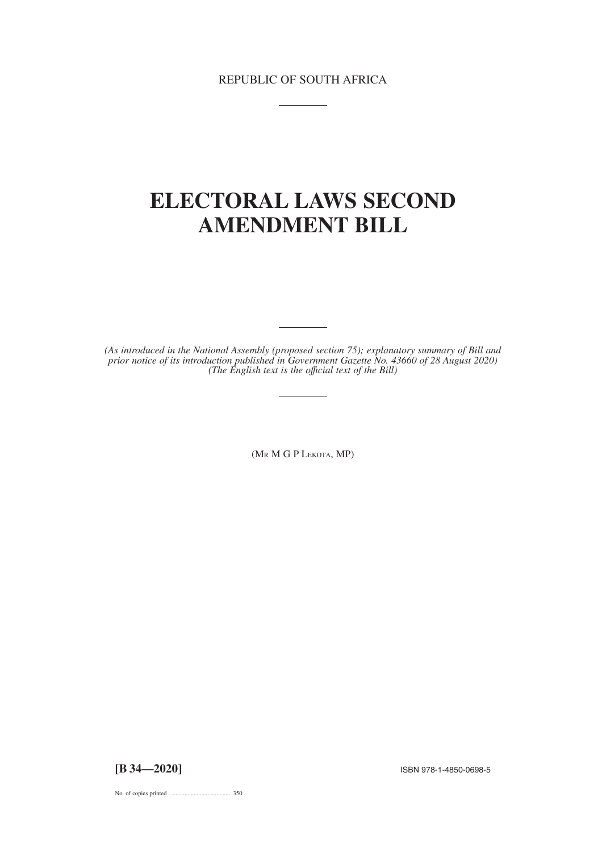REPUBLIC OF SOUTH AFRICA

# **ELECTORAL LAWS SECOND AMENDMENT BILL**

*(As introduced in the National Assembly (proposed section 75); explanatory summary of Bill and prior notice of its introduction published in Government Gazette No. 43660 of 28 August 2020) (The English text is the offıcial text of the Bill)*

(MR MGPLEKOTA, MP)

**[B 34—2020]** ISBN 978-1-4850-0698-5

No. of copies printed ....................................... 350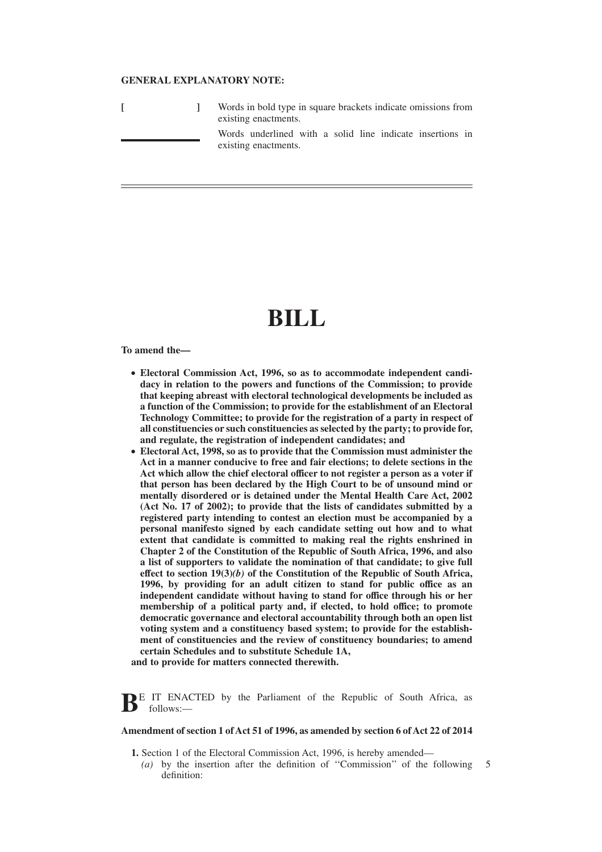## **GENERAL EXPLANATORY NOTE:**

|  | Words in bold type in square brackets indicate omissions from<br>existing enactments. |
|--|---------------------------------------------------------------------------------------|
|  | Words underlined with a solid line indicate insertions in<br>existing enactments.     |

# **BILL**

**To amend the—**

- Electoral Commission Act, 1996, so as to accommodate independent candi**dacy in relation to the powers and functions of the Commission; to provide that keeping abreast with electoral technological developments be included as a function of the Commission; to provide for the establishment of an Electoral Technology Committee; to provide for the registration of a party in respect of all constituencies or such constituencies as selected by the party; to provide for, and regulate, the registration of independent candidates; and**
- **Electoral Act, 1998, so as to provide that the Commission must administer the Act in a manner conducive to free and fair elections; to delete sections in the Act which allow the chief electoral officer to not register a person as a voter if that person has been declared by the High Court to be of unsound mind or mentally disordered or is detained under the Mental Health Care Act, 2002 (Act No. 17 of 2002); to provide that the lists of candidates submitted by a registered party intending to contest an election must be accompanied by a personal manifesto signed by each candidate setting out how and to what extent that candidate is committed to making real the rights enshrined in Chapter 2 of the Constitution of the Republic of South Africa, 1996, and also a list of supporters to validate the nomination of that candidate; to give full effect to section 19(3)***(b)* **of the Constitution of the Republic of South Africa, 1996, by providing for an adult citizen to stand for public office as an independent candidate without having to stand for office through his or her membership of a political party and, if elected, to hold office; to promote democratic governance and electoral accountability through both an open list voting system and a constituency based system; to provide for the establishment of constituencies and the review of constituency boundaries; to amend certain Schedules and to substitute Schedule 1A,**

**and to provide for matters connected therewith.**

**BE IT ENACTED** by the Parliament of the Republic of South Africa, as follows:—

#### **Amendment of section 1 of Act 51 of 1996, as amended by section 6 of Act 22 of 2014**

- **1.** Section 1 of the Electoral Commission Act, 1996, is hereby amended—
	- *(a)* by the insertion after the definition of ''Commission'' of the following definition: 5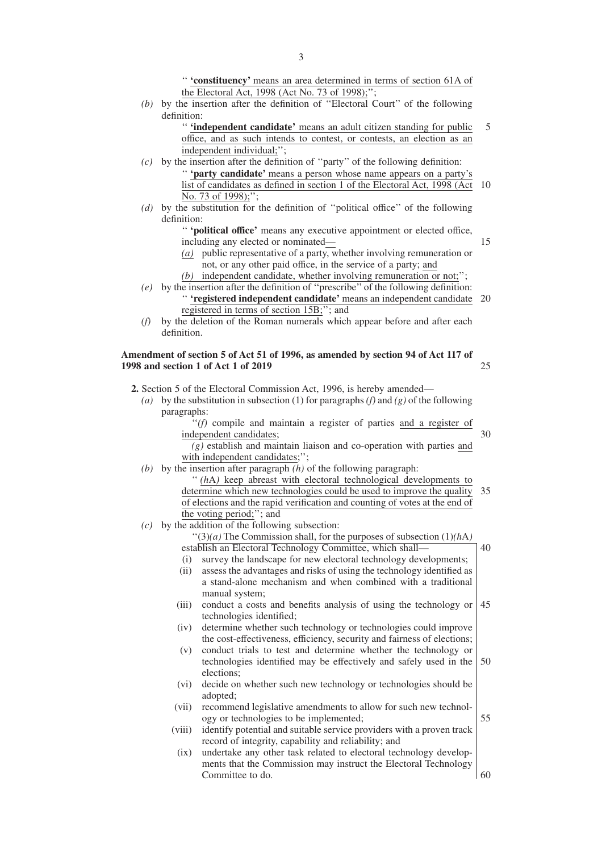'' **'constituency'** means an area determined in terms of section 61A of the Electoral Act, 1998 (Act No. 73 of 1998);'';

*(b)* by the insertion after the definition of ''Electoral Court'' of the following definition:

> '' **'independent candidate'** means an adult citizen standing for public office, and as such intends to contest, or contests, an election as an independent individual;''; 5

- *(c)* by the insertion after the definition of ''party'' of the following definition: '' **'party candidate'** means a person whose name appears on a party's list of candidates as defined in section 1 of the Electoral Act, 1998 (Act 10 No. 73 of 1998);";
- *(d)* by the substitution for the definition of ''political office'' of the following definition:

'' **'political office'** means any executive appointment or elected office, including any elected or nominated—

*(a)* public representative of a party, whether involving remuneration or not, or any other paid office, in the service of a party; and

*(b)* independent candidate, whether involving remuneration or not;'';

- *(e)* by the insertion after the definition of ''prescribe'' of the following definition: '' **'registered independent candidate'** means an independent candidate 20 registered in terms of section 15B;''; and
- *(f)* by the deletion of the Roman numerals which appear before and after each definition.

#### **Amendment of section 5 of Act 51 of 1996, as amended by section 94 of Act 117 of 1998 and section 1 of Act 1 of 2019** 25

**2.** Section 5 of the Electoral Commission Act, 1996, is hereby amended—

*(a)* by the substitution in subsection (1) for paragraphs *(f)* and *(g)* of the following paragraphs:

> ''*(f)* compile and maintain a register of parties and a register of independent candidates;

> *(g)* establish and maintain liaison and co-operation with parties and with independent candidates;";

- *(b)* by the insertion after paragraph *(h)* of the following paragraph:
	- '' *(h*A*)* keep abreast with electoral technological developments to determine which new technologies could be used to improve the quality 35 of elections and the rapid verification and counting of votes at the end of the voting period;''; and
- *(c)* by the addition of the following subsection:

''(3)*(a)* The Commission shall, for the purposes of subsection (1)*(h*A*)*

- establish an Electoral Technology Committee, which shall—
- (i) survey the landscape for new electoral technology developments; (ii) assess the advantages and risks of using the technology identified as a stand-alone mechanism and when combined with a traditional
- manual system; (iii) conduct a costs and benefits analysis of using the technology or technologies identified; 45
- (iv) determine whether such technology or technologies could improve the cost-effectiveness, efficiency, security and fairness of elections;
- (v) conduct trials to test and determine whether the technology or technologies identified may be effectively and safely used in the elections; 50
- (vi) decide on whether such new technology or technologies should be adopted;
- (vii) recommend legislative amendments to allow for such new technology or technologies to be implemented;
- (viii) identify potential and suitable service providers with a proven track record of integrity, capability and reliability; and
- (ix) undertake any other task related to electoral technology developments that the Commission may instruct the Electoral Technology Committee to do. 60

15

30

40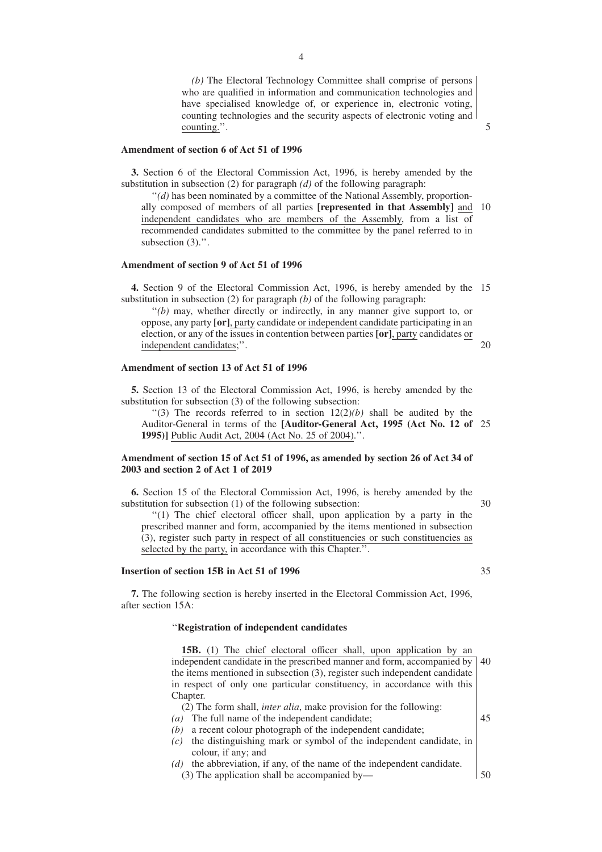*(b)* The Electoral Technology Committee shall comprise of persons who are qualified in information and communication technologies and have specialised knowledge of, or experience in, electronic voting, counting technologies and the security aspects of electronic voting and counting.''.

#### **Amendment of section 6 of Act 51 of 1996**

**3.** Section 6 of the Electoral Commission Act, 1996, is hereby amended by the substitution in subsection (2) for paragraph *(d)* of the following paragraph:

''*(d)* has been nominated by a committee of the National Assembly, proportionally composed of members of all parties **[represented in that Assembly]** and 10 independent candidates who are members of the Assembly, from a list of recommended candidates submitted to the committee by the panel referred to in subsection  $(3)$ .".

# **Amendment of section 9 of Act 51 of 1996**

**4.** Section 9 of the Electoral Commission Act, 1996, is hereby amended by the 15 substitution in subsection (2) for paragraph *(b)* of the following paragraph:

''*(b)* may, whether directly or indirectly, in any manner give support to, or oppose, any party **[or]**, party candidate or independent candidate participating in an election, or any of the issues in contention between parties **[or]**, party candidates or independent candidates;''.

#### **Amendment of section 13 of Act 51 of 1996**

**5.** Section 13 of the Electoral Commission Act, 1996, is hereby amended by the substitution for subsection (3) of the following subsection:

"(3) The records referred to in section  $12(2)(b)$  shall be audited by the Auditor-General in terms of the **[Auditor-General Act, 1995 (Act No. 12 of** 25 **1995)]** Public Audit Act, 2004 (Act No. 25 of 2004).''.

# **Amendment of section 15 of Act 51 of 1996, as amended by section 26 of Act 34 of 2003 and section 2 of Act 1 of 2019**

**6.** Section 15 of the Electoral Commission Act, 1996, is hereby amended by the substitution for subsection (1) of the following subsection:

''(1) The chief electoral officer shall, upon application by a party in the prescribed manner and form, accompanied by the items mentioned in subsection (3), register such party in respect of all constituencies or such constituencies as selected by the party, in accordance with this Chapter.''.

# **Insertion of section 15B in Act 51 of 1996**

**7.** The following section is hereby inserted in the Electoral Commission Act, 1996, after section 15A:

# ''**Registration of independent candidates**

**15B.** (1) The chief electoral officer shall, upon application by an independent candidate in the prescribed manner and form, accompanied by the items mentioned in subsection (3), register such independent candidate in respect of only one particular constituency, in accordance with this Chapter 40

(2) The form shall, *inter alia*, make provision for the following:

- *(a)* The full name of the independent candidate;
- *(b)* a recent colour photograph of the independent candidate;
- *(c)* the distinguishing mark or symbol of the independent candidate, in colour, if any; and
- *(d)* the abbreviation, if any, of the name of the independent candidate. (3) The application shall be accompanied by—

4

35

30

20

5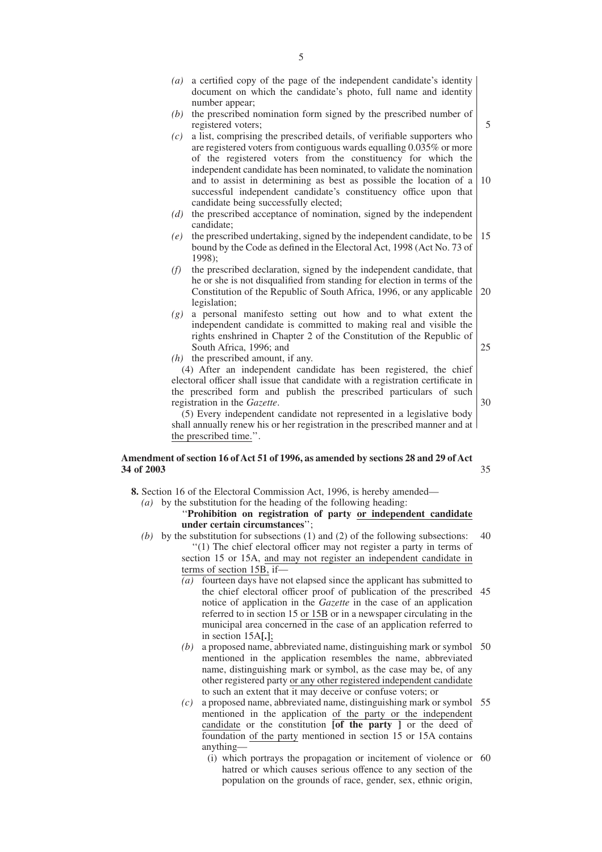| (a)                                                                                                    | a certified copy of the page of the independent candidate's identity<br>document on which the candidate's photo, full name and identity |  |  |
|--------------------------------------------------------------------------------------------------------|-----------------------------------------------------------------------------------------------------------------------------------------|--|--|
|                                                                                                        | number appear;                                                                                                                          |  |  |
|                                                                                                        | the prescribed nomination form signed by the prescribed number of                                                                       |  |  |
| (b)                                                                                                    |                                                                                                                                         |  |  |
|                                                                                                        | registered voters;                                                                                                                      |  |  |
| (c)                                                                                                    | a list, comprising the prescribed details, of verifiable supporters who                                                                 |  |  |
|                                                                                                        | are registered voters from contiguous wards equalling 0.035% or more                                                                    |  |  |
|                                                                                                        | of the registered voters from the constituency for which the                                                                            |  |  |
|                                                                                                        | independent candidate has been nominated, to validate the nomination                                                                    |  |  |
|                                                                                                        | and to assist in determining as best as possible the location of a                                                                      |  |  |
|                                                                                                        | successful independent candidate's constituency office upon that                                                                        |  |  |
|                                                                                                        | candidate being successfully elected;                                                                                                   |  |  |
| (d)                                                                                                    | the prescribed acceptance of nomination, signed by the independent                                                                      |  |  |
|                                                                                                        | candidate:                                                                                                                              |  |  |
| (e)                                                                                                    | the prescribed undertaking, signed by the independent candidate, to be                                                                  |  |  |
|                                                                                                        | bound by the Code as defined in the Electoral Act, 1998 (Act No. 73 of                                                                  |  |  |
|                                                                                                        | 1998);                                                                                                                                  |  |  |
| (f)                                                                                                    | the prescribed declaration, signed by the independent candidate, that                                                                   |  |  |
|                                                                                                        | he or she is not disqualified from standing for election in terms of the                                                                |  |  |
|                                                                                                        | Constitution of the Republic of South Africa, 1996, or any applicable                                                                   |  |  |
|                                                                                                        | legislation;                                                                                                                            |  |  |
| (g)                                                                                                    | a personal manifesto setting out how and to what extent the                                                                             |  |  |
|                                                                                                        | independent candidate is committed to making real and visible the                                                                       |  |  |
|                                                                                                        | rights enshrined in Chapter 2 of the Constitution of the Republic of                                                                    |  |  |
|                                                                                                        | South Africa, 1996; and                                                                                                                 |  |  |
| (h)                                                                                                    | the prescribed amount, if any.                                                                                                          |  |  |
|                                                                                                        | (4) After an independent candidate has been registered, the chief                                                                       |  |  |
|                                                                                                        | electoral officer shall issue that candidate with a registration certificate in                                                         |  |  |
|                                                                                                        | the prescribed form and publish the prescribed particulars of such                                                                      |  |  |
| registration in the Gazette.                                                                           |                                                                                                                                         |  |  |
| (5) Every independent candidate not represented in a legislative body                                  |                                                                                                                                         |  |  |
| shall annually renew his or her registration in the prescribed manner and at<br>the prescribed time.". |                                                                                                                                         |  |  |
|                                                                                                        |                                                                                                                                         |  |  |

5

10

15

20

25

30

35

# **Amendment of section 16 of Act 51 of 1996, as amended by sections 28 and 29 of Act 34 of 2003**

**8.** Section 16 of the Electoral Commission Act, 1996, is hereby amended—

*(a)* by the substitution for the heading of the following heading:

# ''**Prohibition on registration of party or independent candidate under certain circumstances**'';

- *(b)* by the substitution for subsections (1) and (2) of the following subsections: ''(1) The chief electoral officer may not register a party in terms of section 15 or 15A, and may not register an independent candidate in terms of section 15B, if— 40
	- *(a)* fourteen days have not elapsed since the applicant has submitted to the chief electoral officer proof of publication of the prescribed 45 notice of application in the *Gazette* in the case of an application referred to in section 15 or 15B or in a newspaper circulating in the municipal area concerned in the case of an application referred to in section 15A**[.]**;
	- *(b)* a proposed name, abbreviated name, distinguishing mark or symbol mentioned in the application resembles the name, abbreviated name, distinguishing mark or symbol, as the case may be, of any other registered party or any other registered independent candidate to such an extent that it may deceive or confuse voters; or 50
	- *(c)* a proposed name, abbreviated name, distinguishing mark or symbol 55 mentioned in the application of the party or the independent candidate or the constitution **[of the party ]** or the deed of foundation of the party mentioned in section 15 or 15A contains anything—
		- (i) which portrays the propagation or incitement of violence or 60hatred or which causes serious offence to any section of the population on the grounds of race, gender, sex, ethnic origin,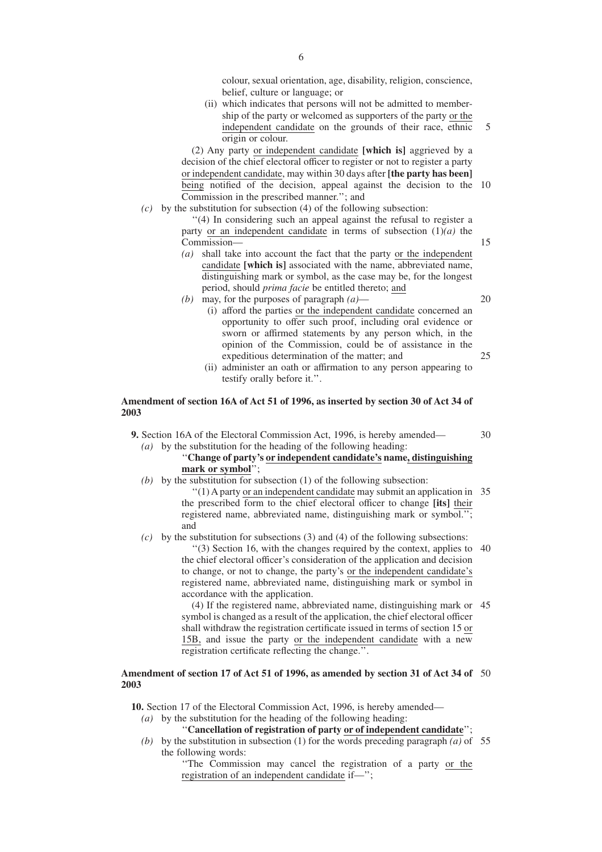colour, sexual orientation, age, disability, religion, conscience, belief, culture or language; or

(ii) which indicates that persons will not be admitted to membership of the party or welcomed as supporters of the party or the independent candidate on the grounds of their race, ethnic origin or colour. 5

(2) Any party or independent candidate **[which is]** aggrieved by a decision of the chief electoral officer to register or not to register a party or independent candidate, may within 30 days after **[the party has been]** being notified of the decision, appeal against the decision to the 10 Commission in the prescribed manner.''; and

*(c)* by the substitution for subsection (4) of the following subsection:

''(4) In considering such an appeal against the refusal to register a party or an independent candidate in terms of subsection  $(1)(a)$  the Commission—

- *(a)* shall take into account the fact that the party or the independent candidate **[which is]** associated with the name, abbreviated name, distinguishing mark or symbol, as the case may be, for the longest period, should *prima facie* be entitled thereto; and
- *(b)* may, for the purposes of paragraph *(a)*—

20

30

15

- (i) afford the parties or the independent candidate concerned an opportunity to offer such proof, including oral evidence or sworn or affirmed statements by any person which, in the opinion of the Commission, could be of assistance in the expeditious determination of the matter; and 25
- (ii) administer an oath or affirmation to any person appearing to testify orally before it.''.

# **Amendment of section 16A of Act 51 of 1996, as inserted by section 30 of Act 34 of 2003**

**9.** Section 16A of the Electoral Commission Act, 1996, is hereby amended— *(a)* by the substitution for the heading of the following heading:

# ''**Change of party's or independent candidate's name, distinguishing mark or symbol**'';

*(b)* by the substitution for subsection (1) of the following subsection: ''(1) A party or an independent candidate may submit an application in 35 the prescribed form to the chief electoral officer to change **[its]** their registered name, abbreviated name, distinguishing mark or symbol.''; and

# *(c)* by the substitution for subsections (3) and (4) of the following subsections: "(3) Section 16, with the changes required by the context, applies to 40 the chief electoral officer's consideration of the application and decision to change, or not to change, the party's or the independent candidate's registered name, abbreviated name, distinguishing mark or symbol in accordance with the application.

(4) If the registered name, abbreviated name, distinguishing mark or 45 symbol is changed as a result of the application, the chief electoral officer shall withdraw the registration certificate issued in terms of section 15 or 15B, and issue the party or the independent candidate with a new registration certificate reflecting the change.''.

## **Amendment of section 17 of Act 51 of 1996, as amended by section 31 of Act 34 of** 50 **2003**

**10.** Section 17 of the Electoral Commission Act, 1996, is hereby amended—

*(a)* by the substitution for the heading of the following heading:

''**Cancellation of registration of party or of independent candidate**'';

(b) by the substitution in subsection (1) for the words preceding paragraph  $(a)$  of 55 the following words:

> ''The Commission may cancel the registration of a party or the registration of an independent candidate if—'';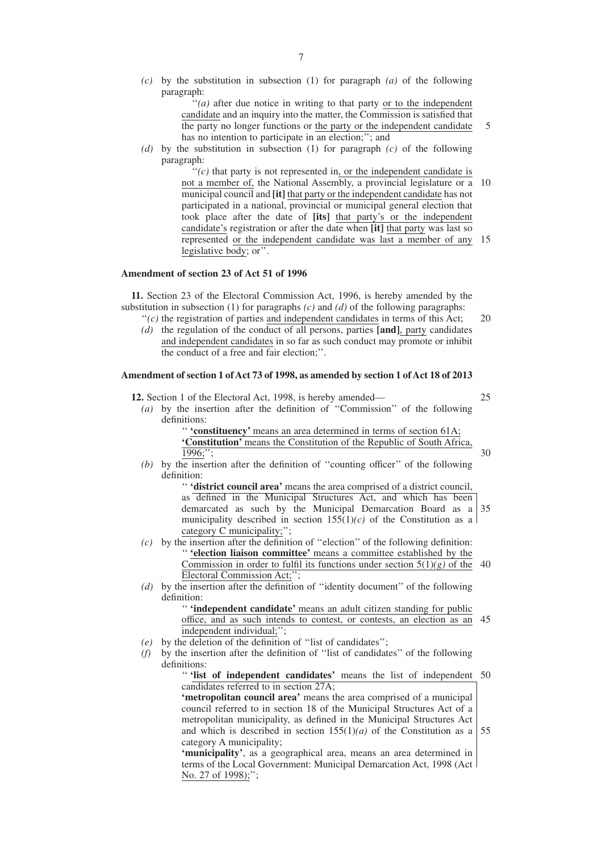*(c)* by the substitution in subsection (1) for paragraph *(a)* of the following paragraph:

> "(*a*) after due notice in writing to that party or to the independent candidate and an inquiry into the matter, the Commission is satisfied that the party no longer functions or the party or the independent candidate has no intention to participate in an election;"; and

5

*(d)* by the substitution in subsection (1) for paragraph *(c)* of the following paragraph:

> $f''(c)$  that party is not represented in, or the independent candidate is not a member of, the National Assembly, a provincial legislature or a municipal council and **[it]** that party or the independent candidate has not participated in a national, provincial or municipal general election that took place after the date of **[its]** that party's or the independent candidate's registration or after the date when **[it]** that party was last so represented or the independent candidate was last a member of any 15 legislative body; or''. 10

# **Amendment of section 23 of Act 51 of 1996**

**11.** Section 23 of the Electoral Commission Act, 1996, is hereby amended by the substitution in subsection (1) for paragraphs *(c)* and *(d)* of the following paragraphs:

- $f'(c)$  the registration of parties and independent candidates in terms of this Act; *(d)* the regulation of the conduct of all persons, parties **[and]**, party candidates  $20$
- and independent candidates in so far as such conduct may promote or inhibit the conduct of a free and fair election;''.

# **Amendment of section 1 of Act 73 of 1998, as amended by section 1 of Act 18 of 2013**

**12.** Section 1 of the Electoral Act, 1998, is hereby amended— *(a)* by the insertion after the definition of ''Commission'' of the following definitions: '' **'constituency'** means an area determined in terms of section 61A; **'Constitution'** means the Constitution of the Republic of South Africa, 1996;''; 25 30

*(b)* by the insertion after the definition of ''counting officer'' of the following definition:

> '' **'district council area'** means the area comprised of a district council, as defined in the Municipal Structures Act, and which has been demarcated as such by the Municipal Demarcation Board as a municipality described in section  $155(1)(c)$  of the Constitution as a category C municipality;''; 35

- *(c)* by the insertion after the definition of ''election'' of the following definition: '' **'election liaison committee'** means a committee established by the Commission in order to fulfil its functions under section  $5(1)(g)$  of the Electoral Commission Act;''; 40
- *(d)* by the insertion after the definition of ''identity document'' of the following definition:

'' **'independent candidate'** means an adult citizen standing for public office, and as such intends to contest, or contests, an election as an 45 independent individual;'';

- *(e)* by the deletion of the definition of ''list of candidates'';
- *(f)* by the insertion after the definition of ''list of candidates'' of the following definitions:

'' **'list of independent candidates'** means the list of independent 50 candidates referred to in section 27A;

**'metropolitan council area'** means the area comprised of a municipal council referred to in section 18 of the Municipal Structures Act of a metropolitan municipality, as defined in the Municipal Structures Act and which is described in section  $155(1)(a)$  of the Constitution as a category A municipality; 55

**'municipality'**, as a geographical area, means an area determined in terms of the Local Government: Municipal Demarcation Act, 1998 (Act No. 27 of 1998);";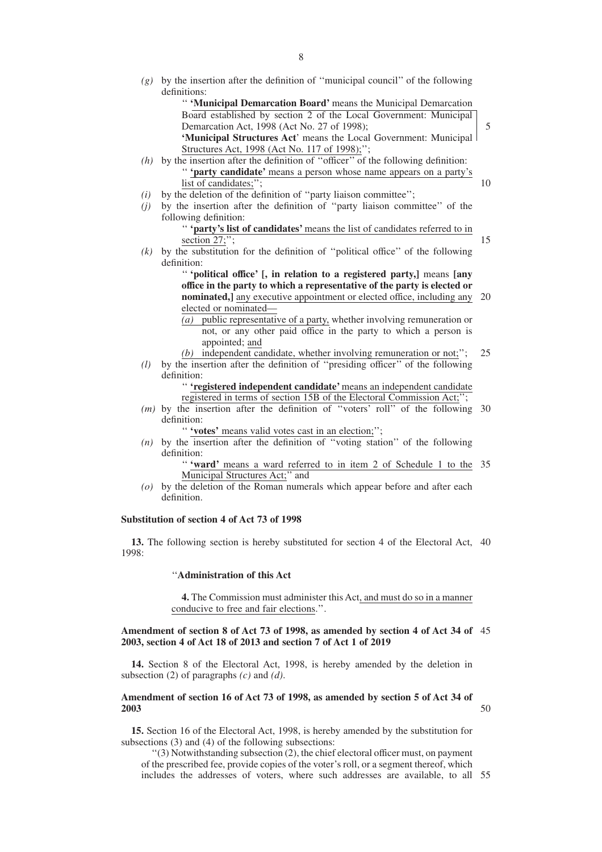- *(g)* by the insertion after the definition of ''municipal council'' of the following definitions:
	- '' **'Municipal Demarcation Board'** means the Municipal Demarcation Board established by section 2 of the Local Government: Municipal Demarcation Act, 1998 (Act No. 27 of 1998); **'Municipal Structures Act**' means the Local Government: Municipal Structures Act, 1998 (Act No. 117 of 1998);'';
- *(h)* by the insertion after the definition of ''officer'' of the following definition: '' **'party candidate'** means a person whose name appears on a party's list of candidates;'';
- *(i)* by the deletion of the definition of ''party liaison committee'';
- *(j)* by the insertion after the definition of ''party liaison committee'' of the following definition:
	- '' **'party's list of candidates'** means the list of candidates referred to in section 27;";
- *(k)* by the substitution for the definition of ''political office'' of the following definition:

'' **'political office' [, in relation to a registered party,]** means **[any office in the party to which a representative of the party is elected or nominated,** any executive appointment or elected office, including any 20 elected or nominated—

- *(a)* public representative of a party, whether involving remuneration or not, or any other paid office in the party to which a person is appointed; and
- *(b)* independent candidate, whether involving remuneration or not;''; 25
- *(l)* by the insertion after the definition of ''presiding officer'' of the following definition:

'' **'registered independent candidate'** means an independent candidate registered in terms of section 15B of the Electoral Commission Act;'';

*(m)* by the insertion after the definition of ''voters' roll'' of the following 30 definition:

" 'votes' means valid votes cast in an election;";

*(n)* by the insertion after the definition of ''voting station'' of the following definition:

"**'ward'** means a ward referred to in item 2 of Schedule 1 to the 35 Municipal Structures Act;'' and

*(o)* by the deletion of the Roman numerals which appear before and after each definition.

# **Substitution of section 4 of Act 73 of 1998**

**13.** The following section is hereby substituted for section 4 of the Electoral Act, 40 1998:

# ''**Administration of this Act**

**4.** The Commission must administer this Act, and must do so in a manner conducive to free and fair elections.''.

#### **Amendment of section 8 of Act 73 of 1998, as amended by section 4 of Act 34 of** 45 **2003, section 4 of Act 18 of 2013 and section 7 of Act 1 of 2019**

**14.** Section 8 of the Electoral Act, 1998, is hereby amended by the deletion in subsection (2) of paragraphs *(c)* and *(d)*.

#### **Amendment of section 16 of Act 73 of 1998, as amended by section 5 of Act 34 of 2003** 50

**15.** Section 16 of the Electoral Act, 1998, is hereby amended by the substitution for subsections (3) and (4) of the following subsections:

''(3) Notwithstanding subsection (2), the chief electoral officer must, on payment of the prescribed fee, provide copies of the voter's roll, or a segment thereof, which includes the addresses of voters, where such addresses are available, to all 55

15

5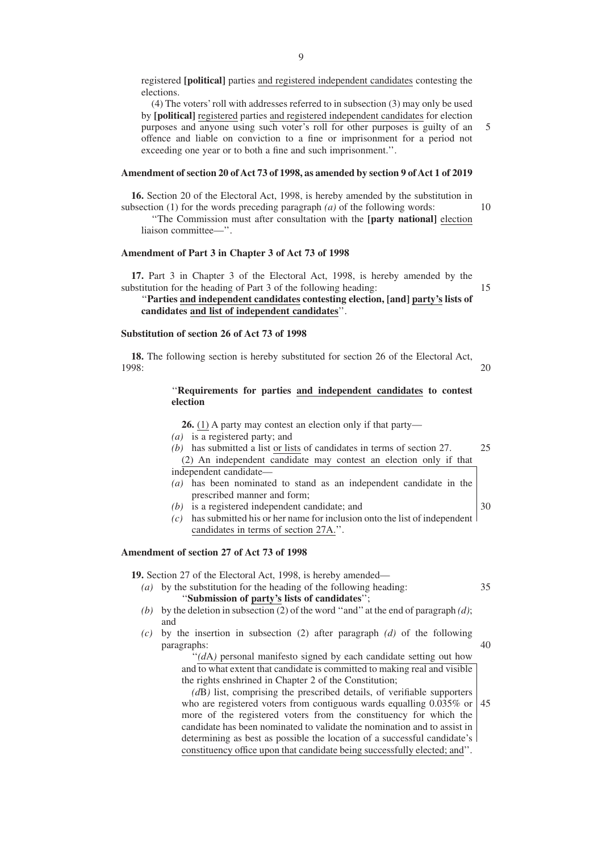registered **[political]** parties and registered independent candidates contesting the elections.

(4) The voters' roll with addresses referred to in subsection (3) may only be used by **[political]** registered parties and registered independent candidates for election purposes and anyone using such voter's roll for other purposes is guilty of an offence and liable on conviction to a fine or imprisonment for a period not exceeding one year or to both a fine and such imprisonment.''. 5

#### **Amendment of section 20 of Act 73 of 1998, as amended by section 9 of Act 1 of 2019**

**16.** Section 20 of the Electoral Act, 1998, is hereby amended by the substitution in subsection (1) for the words preceding paragraph *(a)* of the following words: 10

''The Commission must after consultation with the **[party national]** election liaison committee—''.

# **Amendment of Part 3 in Chapter 3 of Act 73 of 1998**

**17.** Part 3 in Chapter 3 of the Electoral Act, 1998, is hereby amended by the substitution for the heading of Part 3 of the following heading:

# ''**Parties and independent candidates contesting election, [and] party's lists of candidates and list of independent candidates**''.

15

30

40

#### **Substitution of section 26 of Act 73 of 1998**

**18.** The following section is hereby substituted for section 26 of the Electoral Act, 1998: 20

# ''**Requirements for parties and independent candidates to contest election**

**26.** (1) A party may contest an election only if that party— *(a)* is a registered party; and

- 
- *(b)* has submitted a list or lists of candidates in terms of section 27. (2) An independent candidate may contest an election only if that independent candidate— 25
- *(a)* has been nominated to stand as an independent candidate in the prescribed manner and form;
- *(b)* is a registered independent candidate; and
- *(c)* has submitted his or her name for inclusion onto the list of independent candidates in terms of section 27A.''.

#### **Amendment of section 27 of Act 73 of 1998**

**19.** Section 27 of the Electoral Act, 1998, is hereby amended—

- *(a)* by the substitution for the heading of the following heading: ''**Submission of party's lists of candidates**''; 35
- *(b)* by the deletion in subsection (2) of the word "and" at the end of paragraph  $(d)$ ; and
- *(c)* by the insertion in subsection (2) after paragraph *(d)* of the following paragraphs:

"(dA) personal manifesto signed by each candidate setting out how and to what extent that candidate is committed to making real and visible the rights enshrined in Chapter 2 of the Constitution;

*(d*B*)* list, comprising the prescribed details, of verifiable supporters who are registered voters from contiguous wards equalling 0.035% or more of the registered voters from the constituency for which the candidate has been nominated to validate the nomination and to assist in determining as best as possible the location of a successful candidate's constituency office upon that candidate being successfully elected; and''. 45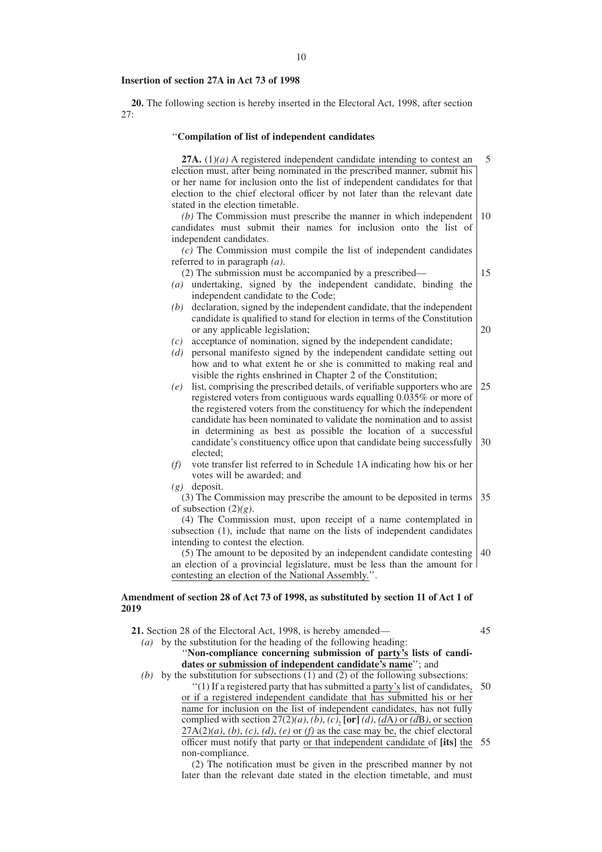#### **Insertion of section 27A in Act 73 of 1998**

**20.** The following section is hereby inserted in the Electoral Act, 1998, after section 27:

#### ''**Compilation of list of independent candidates**

**27A.** (1)*(a)* A registered independent candidate intending to contest an election must, after being nominated in the prescribed manner, submit his or her name for inclusion onto the list of independent candidates for that election to the chief electoral officer by not later than the relevant date stated in the election timetable. 5 10

*(b)* The Commission must prescribe the manner in which independent candidates must submit their names for inclusion onto the list of independent candidates.

*(c)* The Commission must compile the list of independent candidates referred to in paragraph *(a)*.

15

20

(2) The submission must be accompanied by a prescribed—

- *(a)* undertaking, signed by the independent candidate, binding the independent candidate to the Code;
- *(b)* declaration, signed by the independent candidate, that the independent candidate is qualified to stand for election in terms of the Constitution or any applicable legislation;
- *(c)* acceptance of nomination, signed by the independent candidate;
- *(d)* personal manifesto signed by the independent candidate setting out how and to what extent he or she is committed to making real and visible the rights enshrined in Chapter 2 of the Constitution;
- *(e)* list, comprising the prescribed details, of verifiable supporters who are registered voters from contiguous wards equalling 0.035% or more of the registered voters from the constituency for which the independent candidate has been nominated to validate the nomination and to assist in determining as best as possible the location of a successful candidate's constituency office upon that candidate being successfully elected; 25 30
- *(f)* vote transfer list referred to in Schedule 1A indicating how his or her votes will be awarded; and
- *(g)* deposit.

(3) The Commission may prescribe the amount to be deposited in terms of subsection (2)*(g)*. 35

# (4) The Commission must, upon receipt of a name contemplated in subsection (1), include that name on the lists of independent candidates intending to contest the election.

(5) The amount to be deposited by an independent candidate contesting 40 an election of a provincial legislature, must be less than the amount for contesting an election of the National Assembly.''.

## **Amendment of section 28 of Act 73 of 1998, as substituted by section 11 of Act 1 of 2019**

**21.** Section 28 of the Electoral Act, 1998, is hereby amended— *(a)* by the substitution for the heading of the following heading: 45

''**Non-compliance concerning submission of party's lists of candidates or submission of independent candidate's name**''; and *(b)* by the substitution for subsections (1) and (2) of the following subsections:

"(1) If a registered party that has submitted a party's list of candidates, 50 or if a registered independent candidate that has submitted his or her name for inclusion on the list of independent candidates, has not fully complied with section  $27(2)(a)$ ,  $(b)$ ,  $(c)$ ,  $[or]$   $(d)$ ,  $(d)$  or  $(d)$ , or section  $27A(2)(a)$ ,  $(b)$ ,  $(c)$ ,  $(d)$ ,  $(e)$  or  $(f)$  as the case may be, the chief electoral officer must notify that party or that independent candidate of **[its]** the 55non-compliance.

(2) The notification must be given in the prescribed manner by not later than the relevant date stated in the election timetable, and must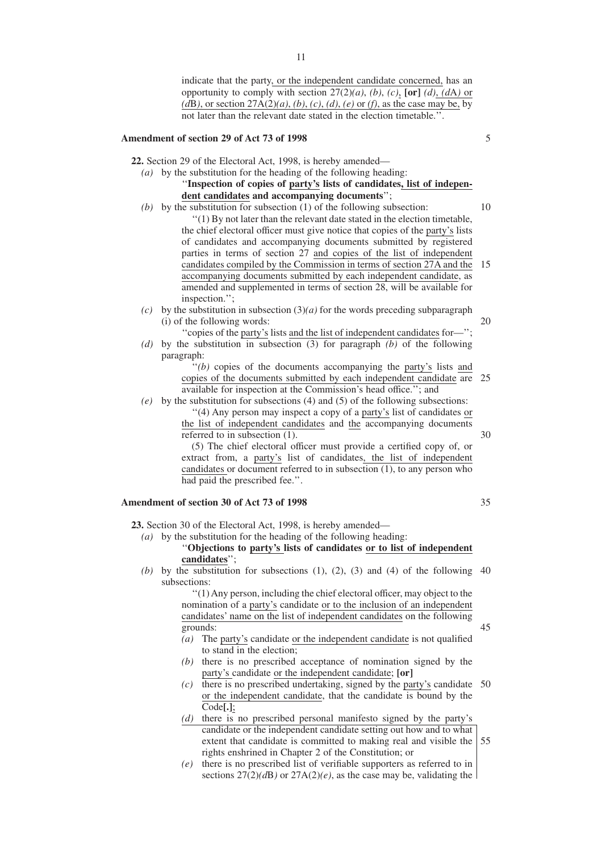indicate that the party, or the independent candidate concerned, has an opportunity to comply with section  $27(2)(a)$ , *(b)*, *(c)*, **[or]** *(d)*, *(dA)* or *(d*B*)*, or section 27A(2)*(a)*, *(b)*, *(c)*, *(d)*, *(e)* or *(f)*, as the case may be, by not later than the relevant date stated in the election timetable.''.

## **Amendment of section 29 of Act 73 of 1998**

**22.** Section 29 of the Electoral Act, 1998, is hereby amended—

# *(a)* by the substitution for the heading of the following heading: ''**Inspection of copies of party's lists of candidates, list of independent candidates and accompanying documents**'';

- *(b)* by the substitution for subsection (1) of the following subsection: ''(1) By not later than the relevant date stated in the election timetable, the chief electoral officer must give notice that copies of the party's lists of candidates and accompanying documents submitted by registered parties in terms of section 27 and copies of the list of independent candidates compiled by the Commission in terms of section 27A and the accompanying documents submitted by each independent candidate, as amended and supplemented in terms of section 28, will be available for inspection.''; 10 15
- *(c)* by the substitution in subsection  $(3)(a)$  for the words preceding subparagraph (i) of the following words:
- ''copies of the party's lists and the list of independent candidates for—''; *(d)* by the substitution in subsection (3) for paragraph *(b)* of the following paragraph:

''*(b)* copies of the documents accompanying the party's lists and copies of the documents submitted by each independent candidate are 25 available for inspection at the Commission's head office.''; and

*(e)* by the substitution for subsections (4) and (5) of the following subsections:

''(4) Any person may inspect a copy of a party's list of candidates or the list of independent candidates and the accompanying documents referred to in subsection (1).

(5) The chief electoral officer must provide a certified copy of, or extract from, a party's list of candidates, the list of independent candidates or document referred to in subsection (1), to any person who had paid the prescribed fee.''.

# **Amendment of section 30 of Act 73 of 1998**

**23.** Section 30 of the Electoral Act, 1998, is hereby amended—

*(a)* by the substitution for the heading of the following heading:

#### ''**Objections to party's lists of candidates or to list of independent candidates**'';

 $(b)$  by the substitution for subsections  $(1)$ ,  $(2)$ ,  $(3)$  and  $(4)$  of the following 40 subsections:

> ''(1) Any person, including the chief electoral officer, may object to the nomination of a party's candidate or to the inclusion of an independent candidates' name on the list of independent candidates on the following grounds:

- *(a)* The party's candidate or the independent candidate is not qualified to stand in the election;
- *(b)* there is no prescribed acceptance of nomination signed by the party's candidate or the independent candidate; **[or]**
- *(c)* there is no prescribed undertaking, signed by the party's candidate 50 or the independent candidate, that the candidate is bound by the Code**[.]**;
- *(d)* there is no prescribed personal manifesto signed by the party's candidate or the independent candidate setting out how and to what extent that candidate is committed to making real and visible the 55rights enshrined in Chapter 2 of the Constitution; or
- *(e)* there is no prescribed list of verifiable supporters as referred to in sections  $27(2)(d)$  or  $27A(2)(e)$ , as the case may be, validating the

5

20

35

45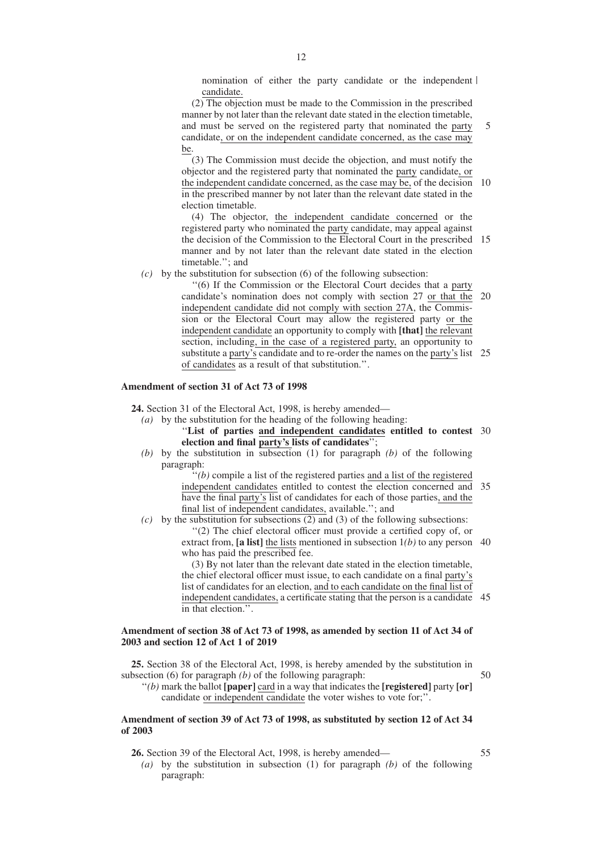nomination of either the party candidate or the independent candidate.

(2) The objection must be made to the Commission in the prescribed manner by not later than the relevant date stated in the election timetable, and must be served on the registered party that nominated the party candidate, or on the independent candidate concerned, as the case may be. 5

(3) The Commission must decide the objection, and must notify the objector and the registered party that nominated the party candidate, or the independent candidate concerned, as the case may be, of the decision in the prescribed manner by not later than the relevant date stated in the election timetable. 10

(4) The objector, the independent candidate concerned or the registered party who nominated the party candidate, may appeal against the decision of the Commission to the Electoral Court in the prescribed 15 manner and by not later than the relevant date stated in the election timetable.''; and

*(c)* by the substitution for subsection (6) of the following subsection:

''(6) If the Commission or the Electoral Court decides that a party candidate's nomination does not comply with section 27 or that the independent candidate did not comply with section 27A, the Commission or the Electoral Court may allow the registered party or the independent candidate an opportunity to comply with **[that]** the relevant section, including, in the case of a registered party, an opportunity to substitute a party's candidate and to re-order the names on the party's list 25 of candidates as a result of that substitution.''. 20

## **Amendment of section 31 of Act 73 of 1998**

**24.** Section 31 of the Electoral Act, 1998, is hereby amended—

- *(a)* by the substitution for the heading of the following heading:
	- ''**List of parties and independent candidates entitled to contest** 30 **election and final party's lists of candidates**'';
- *(b)* by the substitution in subsection (1) for paragraph *(b)* of the following paragraph:

 $\dddot{f}(b)$  compile a list of the registered parties and a list of the registered independent candidates entitled to contest the election concerned and have the final party's list of candidates for each of those parties, and the final list of independent candidates, available.''; and 35

*(c)* by the substitution for subsections (2) and (3) of the following subsections:

''(2) The chief electoral officer must provide a certified copy of, or extract from, **[a list]** the lists mentioned in subsection 1*(b)* to any person 40 who has paid the prescribed fee.

(3) By not later than the relevant date stated in the election timetable, the chief electoral officer must issue, to each candidate on a final party's list of candidates for an election, and to each candidate on the final list of independent candidates, a certificate stating that the person is a candidate 45 in that election.''.

# **Amendment of section 38 of Act 73 of 1998, as amended by section 11 of Act 34 of 2003 and section 12 of Act 1 of 2019**

**25.** Section 38 of the Electoral Act, 1998, is hereby amended by the substitution in subsection (6) for paragraph *(b)* of the following paragraph: 50

''*(b)* mark the ballot **[paper]** card in a way that indicates the **[registered]** party **[or]** candidate or independent candidate the voter wishes to vote for;''.

# **Amendment of section 39 of Act 73 of 1998, as substituted by section 12 of Act 34 of 2003**

**26.** Section 39 of the Electoral Act, 1998, is hereby amended—

55

*(a)* by the substitution in subsection (1) for paragraph *(b)* of the following paragraph: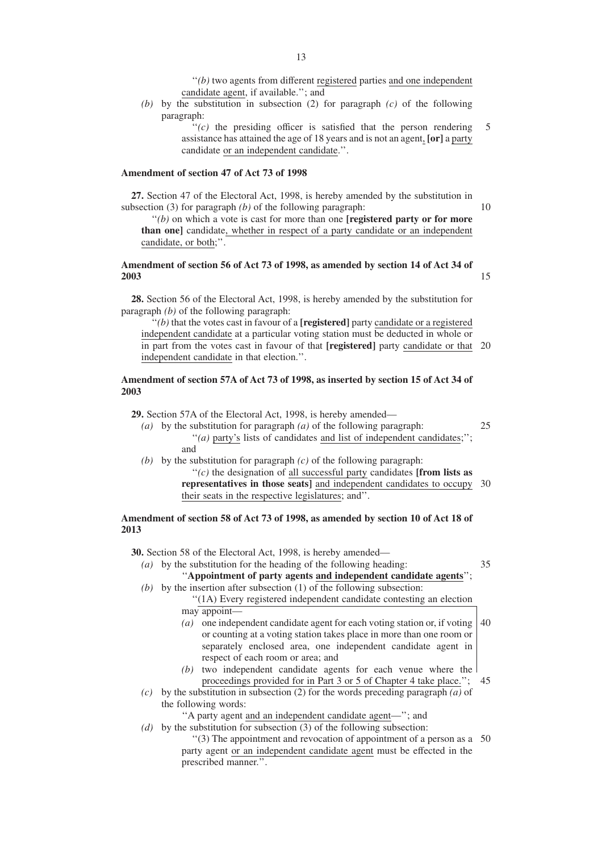''*(b)* two agents from different registered parties and one independent candidate agent, if available.''; and

*(b)* by the substitution in subsection (2) for paragraph *(c)* of the following paragraph:

> $f'(c)$  the presiding officer is satisfied that the person rendering assistance has attained the age of 18 years and is not an agent, **[or]** a party candidate or an independent candidate.''. 5

> > 10

15

# **Amendment of section 47 of Act 73 of 1998**

**27.** Section 47 of the Electoral Act, 1998, is hereby amended by the substitution in subsection (3) for paragraph *(b)* of the following paragraph:

''*(b)* on which a vote is cast for more than one **[registered party or for more than one]** candidate, whether in respect of a party candidate or an independent candidate, or both;''.

# **Amendment of section 56 of Act 73 of 1998, as amended by section 14 of Act 34 of 2003**

**28.** Section 56 of the Electoral Act, 1998, is hereby amended by the substitution for paragraph *(b)* of the following paragraph:

''*(b)* that the votes cast in favour of a **[registered]** party candidate or a registered independent candidate at a particular voting station must be deducted in whole or in part from the votes cast in favour of that **[registered]** party candidate or that 20 independent candidate in that election.''.

#### **Amendment of section 57A of Act 73 of 1998, as inserted by section 15 of Act 34 of 2003**

**29.** Section 57A of the Electoral Act, 1998, is hereby amended—

- *(a)* by the substitution for paragraph *(a)* of the following paragraph: ''*(a)* party's lists of candidates and list of independent candidates;''; and 25
- *(b)* by the substitution for paragraph *(c)* of the following paragraph: ''*(c)* the designation of all successful party candidates **[from lists as representatives in those seats]** and independent candidates to occupy 30 their seats in the respective legislatures; and''.

# **Amendment of section 58 of Act 73 of 1998, as amended by section 10 of Act 18 of 2013**

**30.** Section 58 of the Electoral Act, 1998, is hereby amended—

- *(a)* by the substitution for the heading of the following heading: ''**Appointment of party agents and independent candidate agents**''; 35
- *(b)* by the insertion after subsection (1) of the following subsection: ''(1A) Every registered independent candidate contesting an election
	- may appoint— *(a)* one independent candidate agent for each voting station or, if voting
		- or counting at a voting station takes place in more than one room or separately enclosed area, one independent candidate agent in respect of each room or area; and 40
	- *(b)* two independent candidate agents for each venue where the proceedings provided for in Part 3 or 5 of Chapter 4 take place.''; 45
- *(c)* by the substitution in subsection (2) for the words preceding paragraph *(a)* of the following words:

''A party agent and an independent candidate agent—''; and

- *(d)* by the substitution for subsection (3) of the following subsection:
	- ''(3) The appointment and revocation of appointment of a person as a 50party agent or an independent candidate agent must be effected in the prescribed manner.''.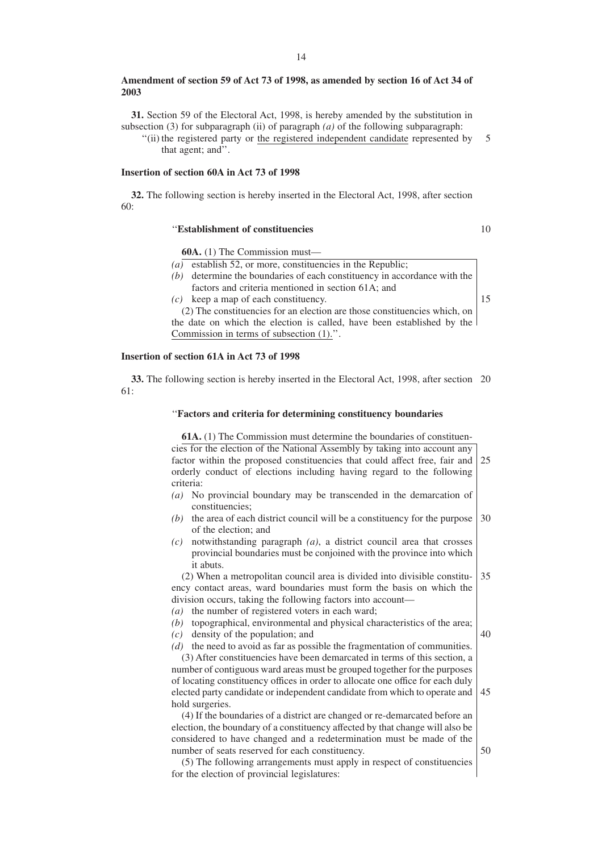#### **Amendment of section 59 of Act 73 of 1998, as amended by section 16 of Act 34 of 2003**

**31.** Section 59 of the Electoral Act, 1998, is hereby amended by the substitution in subsection (3) for subparagraph (ii) of paragraph  $(a)$  of the following subparagraph:

''(ii) the registered party or the registered independent candidate represented by that agent; and''. 5

#### **Insertion of section 60A in Act 73 of 1998**

**32.** The following section is hereby inserted in the Electoral Act, 1998, after section 60:

# ''**Establishment of constituencies**

10

**60A.** (1) The Commission must—

- *(a)* establish 52, or more, constituencies in the Republic;
- *(b)* determine the boundaries of each constituency in accordance with the factors and criteria mentioned in section 61A; and
- *(c)* keep a map of each constituency.

15

(2) The constituencies for an election are those constituencies which, on the date on which the election is called, have been established by the Commission in terms of subsection (1).''.

## **Insertion of section 61A in Act 73 of 1998**

**33.** The following section is hereby inserted in the Electoral Act, 1998, after section 20 61:

#### ''**Factors and criteria for determining constituency boundaries**

**61A.** (1) The Commission must determine the boundaries of constituencies for the election of the National Assembly by taking into account any factor within the proposed constituencies that could affect free, fair and orderly conduct of elections including having regard to the following criteria: *(a)* No provincial boundary may be transcended in the demarcation of constituencies; *(b)* the area of each district council will be a constituency for the purpose 30 of the election; and *(c)* notwithstanding paragraph *(a)*, a district council area that crosses provincial boundaries must be conjoined with the province into which it abuts. (2) When a metropolitan council area is divided into divisible constituency contact areas, ward boundaries must form the basis on which the division occurs, taking the following factors into account— *(a)* the number of registered voters in each ward; *(b)* topographical, environmental and physical characteristics of the area; *(c)* density of the population; and *(d)* the need to avoid as far as possible the fragmentation of communities. (3) After constituencies have been demarcated in terms of this section, a number of contiguous ward areas must be grouped together for the purposes of locating constituency offices in order to allocate one office for each duly elected party candidate or independent candidate from which to operate and hold surgeries. (4) If the boundaries of a district are changed or re-demarcated before an election, the boundary of a constituency affected by that change will also be considered to have changed and a redetermination must be made of the number of seats reserved for each constituency. (5) The following arrangements must apply in respect of constituencies for the election of provincial legislatures: 25 35 40 45 50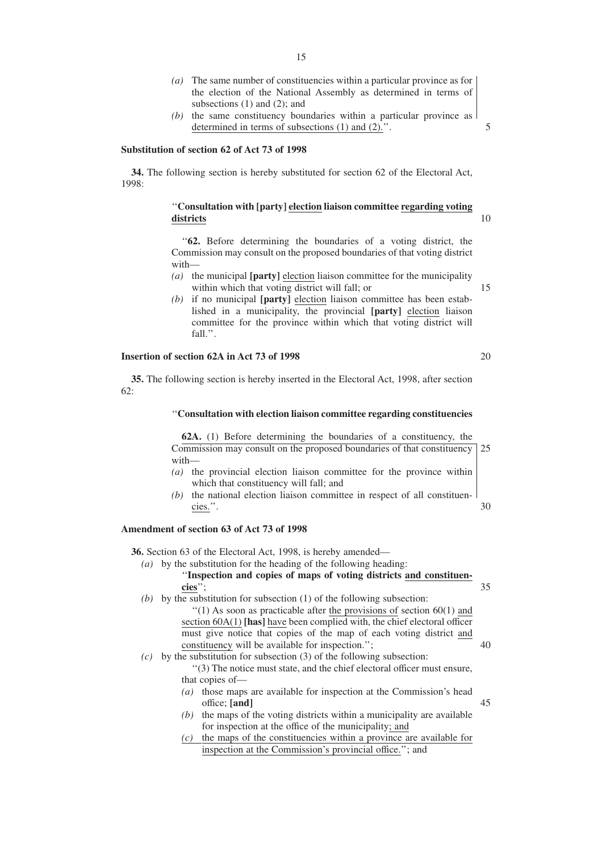- *(a)* The same number of constituencies within a particular province as for the election of the National Assembly as determined in terms of subsections (1) and (2); and
- *(b)* the same constituency boundaries within a particular province as determined in terms of subsections (1) and (2).''.

# **Substitution of section 62 of Act 73 of 1998**

**34.** The following section is hereby substituted for section 62 of the Electoral Act, 1998:

# ''**Consultation with [party] election liaison committee regarding voting districts**

''**62.** Before determining the boundaries of a voting district, the Commission may consult on the proposed boundaries of that voting district with—

- *(a)* the municipal **[party]** election liaison committee for the municipality within which that voting district will fall; or
- *(b)* if no municipal **[party]** election liaison committee has been established in a municipality, the provincial **[party]** election liaison committee for the province within which that voting district will fall.''.

## **Insertion of section 62A in Act 73 of 1998**

**35.** The following section is hereby inserted in the Electoral Act, 1998, after section 62:

#### ''**Consultation with election liaison committee regarding constituencies**

**62A.** (1) Before determining the boundaries of a constituency, the Commission may consult on the proposed boundaries of that constituency with— 25

- *(a)* the provincial election liaison committee for the province within which that constituency will fall; and
- *(b)* the national election liaison committee in respect of all constituencies.''. 30

#### **Amendment of section 63 of Act 73 of 1998**

**36.** Section 63 of the Electoral Act, 1998, is hereby amended—

- *(a)* by the substitution for the heading of the following heading: ''**Inspection and copies of maps of voting districts and constituencies**''; 35
- *(b)* by the substitution for subsection (1) of the following subsection:  $''(1)$  As soon as practicable after the provisions of section 60(1) and section 60A(1) **[has]** have been complied with, the chief electoral officer must give notice that copies of the map of each voting district and constituency will be available for inspection.''; 40
- *(c)* by the substitution for subsection (3) of the following subsection: ''(3) The notice must state, and the chief electoral officer must ensure, that copies of—
	- *(a)* those maps are available for inspection at the Commission's head office; **[and]** 45
	- *(b)* the maps of the voting districts within a municipality are available for inspection at the office of the municipality; and
	- *(c)* the maps of the constituencies within a province are available for inspection at the Commission's provincial office.''; and

20

5

10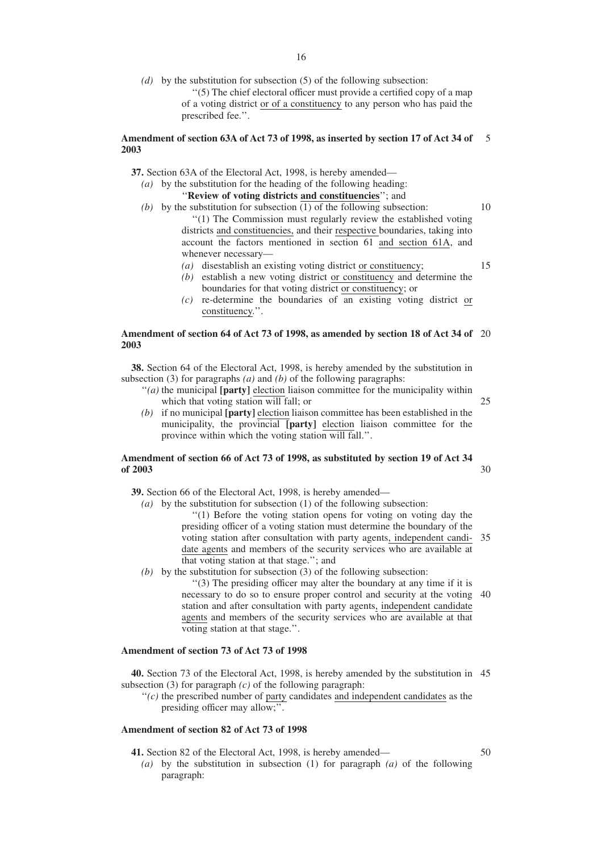*(d)* by the substitution for subsection (5) of the following subsection: ''(5) The chief electoral officer must provide a certified copy of a map of a voting district or of a constituency to any person who has paid the prescribed fee.''.

#### **Amendment of section 63A of Act 73 of 1998, as inserted by section 17 of Act 34 of 2003** 5

**37.** Section 63A of the Electoral Act, 1998, is hereby amended—

- *(a)* by the substitution for the heading of the following heading: ''**Review of voting districts and constituencies**''; and
- (b) by the substitution for subsection (1) of the following subsection: ''(1) The Commission must regularly review the established voting districts and constituencies, and their respective boundaries, taking into account the factors mentioned in section 61 and section 61A, and whenever necessary— 10 15
	- *(a)* disestablish an existing voting district or constituency;
	- *(b)* establish a new voting district or constituency and determine the boundaries for that voting district or constituency; or
	- *(c)* re-determine the boundaries of an existing voting district or constituency.''.

#### **Amendment of section 64 of Act 73 of 1998, as amended by section 18 of Act 34 of** 20 **2003**

**38.** Section 64 of the Electoral Act, 1998, is hereby amended by the substitution in subsection (3) for paragraphs *(a)* and *(b)* of the following paragraphs:

- ''*(a)* the municipal **[party]** election liaison committee for the municipality within which that voting station will fall; or
- *(b)* if no municipal **[party]** election liaison committee has been established in the municipality, the provincial **[party]** election liaison committee for the province within which the voting station will fall.''.

#### **Amendment of section 66 of Act 73 of 1998, as substituted by section 19 of Act 34 of 2003** 30

**39.** Section 66 of the Electoral Act, 1998, is hereby amended—

*(a)* by the substitution for subsection (1) of the following subsection:

''(1) Before the voting station opens for voting on voting day the presiding officer of a voting station must determine the boundary of the voting station after consultation with party agents, independent candi-35 date agents and members of the security services who are available at that voting station at that stage.''; and

*(b)* by the substitution for subsection (3) of the following subsection:

''(3) The presiding officer may alter the boundary at any time if it is necessary to do so to ensure proper control and security at the voting 40 station and after consultation with party agents, independent candidate agents and members of the security services who are available at that voting station at that stage.''.

# **Amendment of section 73 of Act 73 of 1998**

**40.** Section 73 of the Electoral Act, 1998, is hereby amended by the substitution in 45 subsection (3) for paragraph *(c)* of the following paragraph:

 $f'(c)$  the prescribed number of party candidates and independent candidates as the presiding officer may allow;''.

# **Amendment of section 82 of Act 73 of 1998**

**41.** Section 82 of the Electoral Act, 1998, is hereby amended—

50

25

*(a)* by the substitution in subsection (1) for paragraph *(a)* of the following paragraph: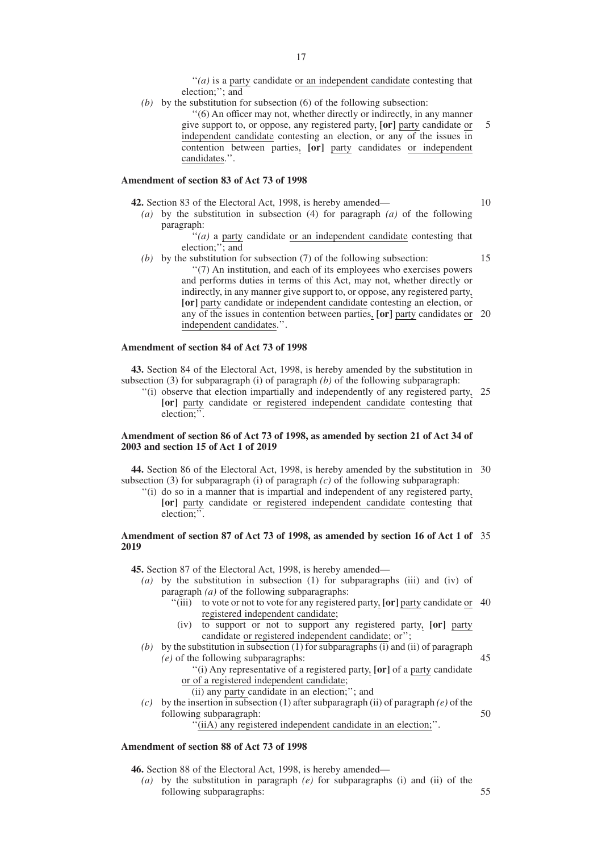''*(a)* is a party candidate or an independent candidate contesting that election;''; and

*(b)* by the substitution for subsection (6) of the following subsection: ''(6) An officer may not, whether directly or indirectly, in any manner give support to, or oppose, any registered party, **[or]** party candidate or independent candidate contesting an election, or any of the issues in contention between parties, **[or]** party candidates or independent candidates.''. 5

#### **Amendment of section 83 of Act 73 of 1998**

- **42.** Section 83 of the Electoral Act, 1998, is hereby amended— 10
	- *(a)* by the substitution in subsection (4) for paragraph *(a)* of the following paragraph:

''*(a)* a party candidate or an independent candidate contesting that election;"; and

*(b)* by the substitution for subsection (7) of the following subsection: ''(7) An institution, and each of its employees who exercises powers and performs duties in terms of this Act, may not, whether directly or indirectly, in any manner give support to, or oppose, any registered party, **[or]** party candidate or independent candidate contesting an election, or any of the issues in contention between parties, **[or]** party candidates or 20 independent candidates.''. 15

#### **Amendment of section 84 of Act 73 of 1998**

**43.** Section 84 of the Electoral Act, 1998, is hereby amended by the substitution in subsection (3) for subparagraph (i) of paragraph *(b)* of the following subparagraph:

"(i) observe that election impartially and independently of any registered party, 25 **[or]** party candidate or registered independent candidate contesting that election;''.

# **Amendment of section 86 of Act 73 of 1998, as amended by section 21 of Act 34 of 2003 and section 15 of Act 1 of 2019**

**44.** Section 86 of the Electoral Act, 1998, is hereby amended by the substitution in 30 subsection (3) for subparagraph (i) of paragraph *(c)* of the following subparagraph:

''(i) do so in a manner that is impartial and independent of any registered party, **[or]** party candidate or registered independent candidate contesting that election;''.

#### **Amendment of section 87 of Act 73 of 1998, as amended by section 16 of Act 1 of** 35 **2019**

**45.** Section 87 of the Electoral Act, 1998, is hereby amended—

- *(a)* by the substitution in subsection (1) for subparagraphs (iii) and (iv) of paragraph *(a)* of the following subparagraphs:
	- "(iii) to vote or not to vote for any registered party, [or] party candidate or 40 registered independent candidate;
	- (iv) to support or not to support any registered party, **[or]** party candidate or registered independent candidate; or'';
- *(b)* by the substitution in subsection (1) for subparagraphs (i) and (ii) of paragraph *(e)* of the following subparagraphs: 45
	- ''(i) Any representative of a registered party, **[or]** of a party candidate or of a registered independent candidate;

(ii) any party candidate in an election;''; and

- *(c)* by the insertion in subsection (1) after subparagraph *(ii)* of paragraph *(e)* of the following subparagraph:
	- ''(iiA) any registered independent candidate in an election;''.

50

# **Amendment of section 88 of Act 73 of 1998**

**46.** Section 88 of the Electoral Act, 1998, is hereby amended—

*(a)* by the substitution in paragraph *(e)* for subparagraphs (i) and (ii) of the following subparagraphs: 55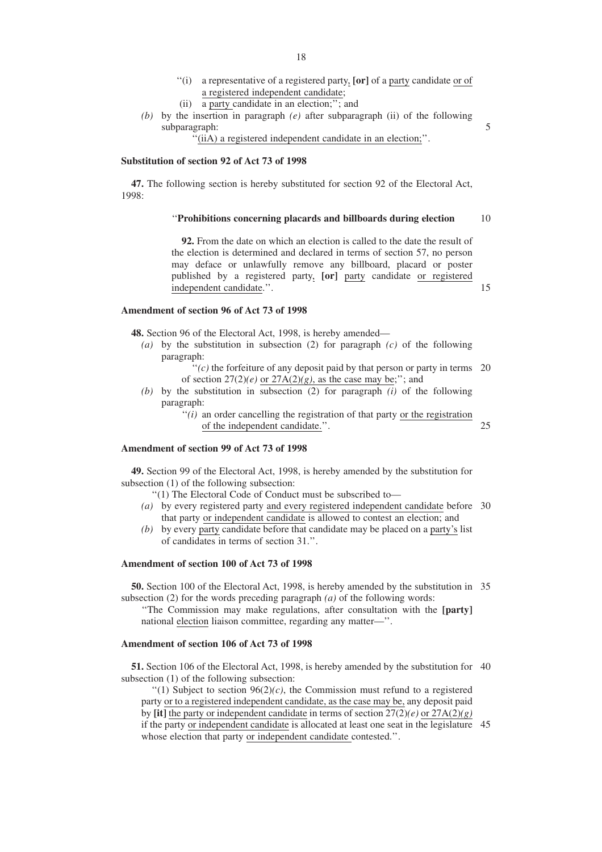- ''(i) a representative of a registered party, **[or]** of a party candidate or of a registered independent candidate;
- (ii) a party candidate in an election;''; and
- *(b)* by the insertion in paragraph *(e)* after subparagraph (ii) of the following subparagraph:

''(iiA) a registered independent candidate in an election;''.

# **Substitution of section 92 of Act 73 of 1998**

**47.** The following section is hereby substituted for section 92 of the Electoral Act, 1998:

#### ''**Prohibitions concerning placards and billboards during election** 10

**92.** From the date on which an election is called to the date the result of the election is determined and declared in terms of section 57, no person may deface or unlawfully remove any billboard, placard or poster published by a registered party, **[or]** party candidate or registered independent candidate.''.

# **Amendment of section 96 of Act 73 of 1998**

**48.** Section 96 of the Electoral Act, 1998, is hereby amended—

- *(a)* by the substitution in subsection (2) for paragraph *(c)* of the following paragraph:
	- $''(c)$  the forfeiture of any deposit paid by that person or party in terms 20 of section  $27(2)(e)$  or  $27A(2)(g)$ , as the case may be;"; and
- *(b)* by the substitution in subsection (2) for paragraph *(i)* of the following paragraph:

 $''(i)$  an order cancelling the registration of that party or the registration of the independent candidate.''.

25

15

5

# **Amendment of section 99 of Act 73 of 1998**

**49.** Section 99 of the Electoral Act, 1998, is hereby amended by the substitution for subsection (1) of the following subsection:

- ''(1) The Electoral Code of Conduct must be subscribed to—
- *(a)* by every registered party and every registered independent candidate before 30 that party or independent candidate is allowed to contest an election; and
- *(b)* by every party candidate before that candidate may be placed on a party's list of candidates in terms of section 31.''.

# **Amendment of section 100 of Act 73 of 1998**

**50.** Section 100 of the Electoral Act, 1998, is hereby amended by the substitution in 35 subsection (2) for the words preceding paragraph *(a)* of the following words:

''The Commission may make regulations, after consultation with the **[party]** national election liaison committee, regarding any matter—''.

#### **Amendment of section 106 of Act 73 of 1998**

**51.** Section 106 of the Electoral Act, 1998, is hereby amended by the substitution for 40 subsection (1) of the following subsection:

 $''(1)$  Subject to section  $96(2)/c$ , the Commission must refund to a registered party or to a registered independent candidate, as the case may be, any deposit paid by **[it]** the party or independent candidate in terms of section 27(2)*(e)* or 27A(2)*(g)* if the party or independent candidate is allocated at least one seat in the legislature 45whose election that party or independent candidate contested.''.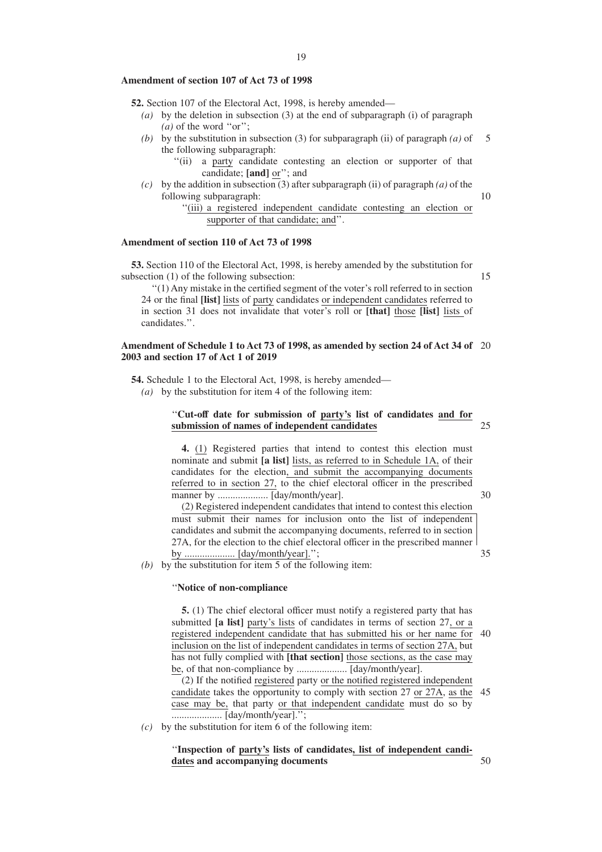#### **Amendment of section 107 of Act 73 of 1998**

**52.** Section 107 of the Electoral Act, 1998, is hereby amended—

- *(a)* by the deletion in subsection (3) at the end of subparagraph (i) of paragraph  $(a)$  of the word "or";
- *(b)* by the substitution in subsection (3) for subparagraph (ii) of paragraph *(a)* of the following subparagraph: 5
	- ''(ii) a party candidate contesting an election or supporter of that candidate; **[and]** or''; and
- *(c)* by the addition in subsection (3) after subparagraph *(ii)* of paragraph *(a)* of the following subparagraph:

10

''(iii) a registered independent candidate contesting an election or supporter of that candidate; and''.

# **Amendment of section 110 of Act 73 of 1998**

**53.** Section 110 of the Electoral Act, 1998, is hereby amended by the substitution for subsection (1) of the following subsection:

15

''(1) Any mistake in the certified segment of the voter's roll referred to in section 24 or the final **[list]** lists of party candidates or independent candidates referred to in section 31 does not invalidate that voter's roll or **[that]** those **[list]** lists of candidates.''.

#### **Amendment of Schedule 1 to Act 73 of 1998, as amended by section 24 of Act 34 of** 20 **2003 and section 17 of Act 1 of 2019**

**54.** Schedule 1 to the Electoral Act, 1998, is hereby amended—

*(a)* by the substitution for item 4 of the following item:

#### ''**Cut-off date for submission of party's list of candidates and for submission of names of independent candidates** 25

**4.** (1) Registered parties that intend to contest this election must nominate and submit **[a list]** lists, as referred to in Schedule 1A, of their candidates for the election, and submit the accompanying documents referred to in section 27, to the chief electoral officer in the prescribed manner by .................... [day/month/year].

30

50

(2) Registered independent candidates that intend to contest this election must submit their names for inclusion onto the list of independent candidates and submit the accompanying documents, referred to in section 27A, for the election to the chief electoral officer in the prescribed manner by .................... [day/month/year].''; 35

*(b)* by the substitution for item 5 of the following item:

#### ''**Notice of non-compliance**

**5.** (1) The chief electoral officer must notify a registered party that has submitted **[a list]** party's lists of candidates in terms of section 27, or a registered independent candidate that has submitted his or her name for inclusion on the list of independent candidates in terms of section 27A, but has not fully complied with **[that section]** those sections, as the case may be, of that non-compliance by .................... [day/month/year]. 40

(2) If the notified registered party or the notified registered independent candidate takes the opportunity to comply with section 27 or 27A, as the 45 case may be, that party or that independent candidate must do so by .................... [day/month/year].'';

*(c)* by the substitution for item 6 of the following item:

# ''**Inspection of party's lists of candidates, list of independent candidates and accompanying documents**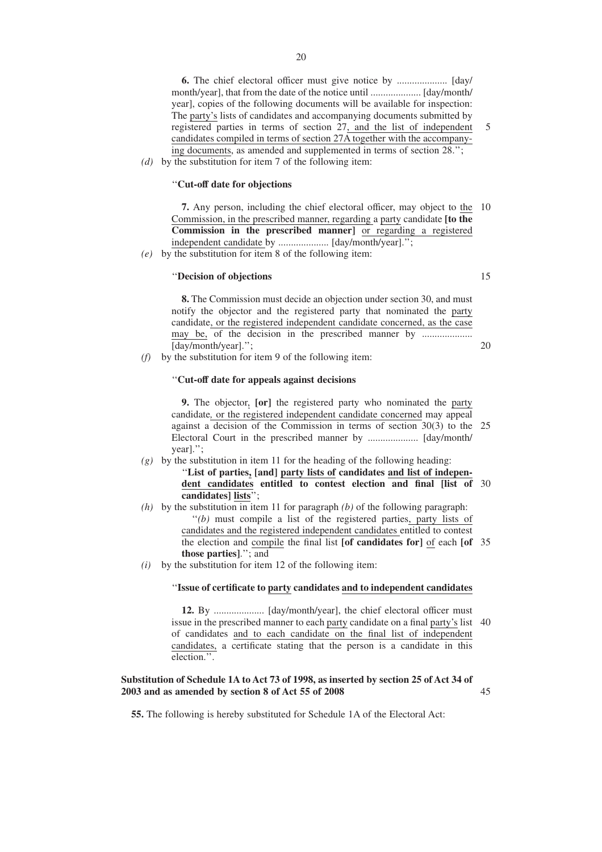**6.** The chief electoral officer must give notice by .................... [day/ month/year], that from the date of the notice until .................... [day/month/ year], copies of the following documents will be available for inspection: The party's lists of candidates and accompanying documents submitted by registered parties in terms of section 27, and the list of independent candidates compiled in terms of section 27A together with the accompanying documents, as amended and supplemented in terms of section 28.'';

5

15

20

*(d)* by the substitution for item 7 of the following item:

# ''**Cut-off date for objections**

**7.** Any person, including the chief electoral officer, may object to the 10 Commission, in the prescribed manner, regarding a party candidate **[to the Commission in the prescribed manner]** or regarding a registered independent candidate by .................... [day/month/year].'';

*(e)* by the substitution for item 8 of the following item:

## ''**Decision of objections**

**8.** The Commission must decide an objection under section 30, and must notify the objector and the registered party that nominated the party candidate, or the registered independent candidate concerned, as the case may be, of the decision in the prescribed manner by ............................ [day/month/year].'';

*(f)* by the substitution for item 9 of the following item:

#### ''**Cut-off date for appeals against decisions**

**9.** The objector, **[or]** the registered party who nominated the party candidate*,* or the registered independent candidate concerned may appeal against a decision of the Commission in terms of section 30(3) to the 25 Electoral Court in the prescribed manner by .................... [day/month/ year].'';

- *(g)* by the substitution in item 11 for the heading of the following heading: ''**List of parties, [and] party lists of candidates and list of independent candidates entitled to contest election and final [list of** 30 **candidates] lists**'';
- *(h)* by the substitution in item 11 for paragraph *(b)* of the following paragraph: ''*(b)* must compile a list of the registered parties, party lists of candidates and the registered independent candidates entitled to contest the election and compile the final list **[of candidates for]** of each **[of** 35 **those parties]**.''; and
- *(i)* by the substitution for item 12 of the following item:

# ''**Issue of certificate to party candidates and to independent candidates**

**12.** By .................... [day/month/year], the chief electoral officer must issue in the prescribed manner to each party candidate on a final party's list 40 of candidates and to each candidate on the final list of independent candidates, a certificate stating that the person is a candidate in this election.''.

#### **Substitution of Schedule 1A to Act 73 of 1998, as inserted by section 25 of Act 34 of 2003 and as amended by section 8 of Act 55 of 2008** 45

**55.** The following is hereby substituted for Schedule 1A of the Electoral Act: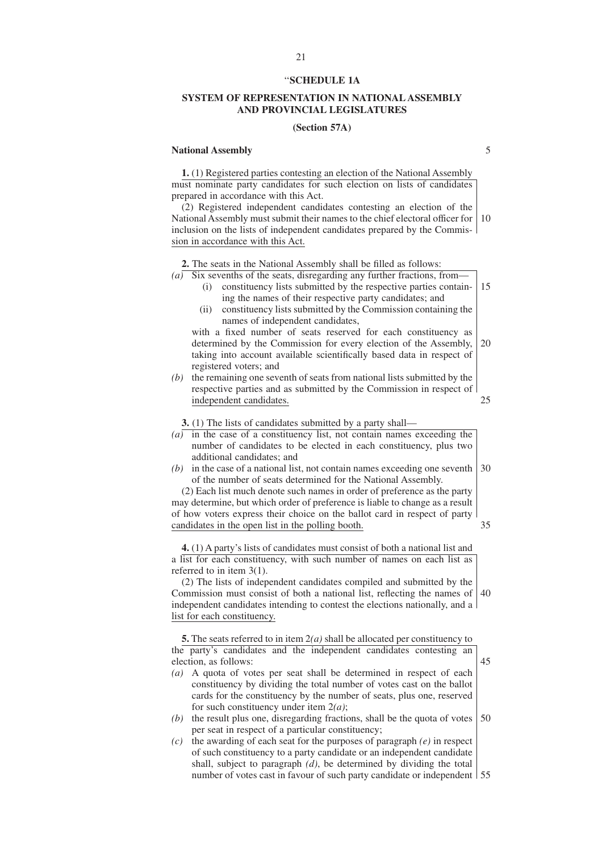#### ''**SCHEDULE 1A**

# **SYSTEM OF REPRESENTATION IN NATIONAL ASSEMBLY AND PROVINCIAL LEGISLATURES**

# **(Section 57A)**

#### **National Assembly**

**1.** (1) Registered parties contesting an election of the National Assembly must nominate party candidates for such election on lists of candidates prepared in accordance with this Act.

(2) Registered independent candidates contesting an election of the National Assembly must submit their names to the chief electoral officer for inclusion on the lists of independent candidates prepared by the Commission in accordance with this Act. 10

**2.** The seats in the National Assembly shall be filled as follows:

 $(a)$  Six sevenths of the seats, disregarding any further fractions, from

- (i) constituency lists submitted by the respective parties containing the names of their respective party candidates; and 15
- (ii) constituency lists submitted by the Commission containing the names of independent candidates,

with a fixed number of seats reserved for each constituency as determined by the Commission for every election of the Assembly, taking into account available scientifically based data in respect of registered voters; and 20

*(b)* the remaining one seventh of seats from national lists submitted by the respective parties and as submitted by the Commission in respect of independent candidates.

**3.** (1) The lists of candidates submitted by a party shall—

- *(a)* in the case of a constituency list, not contain names exceeding the number of candidates to be elected in each constituency, plus two additional candidates; and
- *(b)* in the case of a national list, not contain names exceeding one seventh of the number of seats determined for the National Assembly. 30

(2) Each list much denote such names in order of preference as the party may determine, but which order of preference is liable to change as a result of how voters express their choice on the ballot card in respect of party candidates in the open list in the polling booth.

**4.** (1) A party's lists of candidates must consist of both a national list and a list for each constituency, with such number of names on each list as referred to in item 3(1).

(2) The lists of independent candidates compiled and submitted by the Commission must consist of both a national list, reflecting the names of 40 independent candidates intending to contest the elections nationally, and a list for each constituency.

**5.** The seats referred to in item 2*(a)* shall be allocated per constituency to

the party's candidates and the independent candidates contesting an election, as follows: 45

- *(a)* A quota of votes per seat shall be determined in respect of each constituency by dividing the total number of votes cast on the ballot cards for the constituency by the number of seats, plus one, reserved for such constituency under item 2*(a)*;
- *(b)* the result plus one, disregarding fractions, shall be the quota of votes per seat in respect of a particular constituency; 50
- *(c)* the awarding of each seat for the purposes of paragraph *(e)* in respect of such constituency to a party candidate or an independent candidate shall, subject to paragraph *(d)*, be determined by dividing the total number of votes cast in favour of such party candidate or independent 55

21

35

25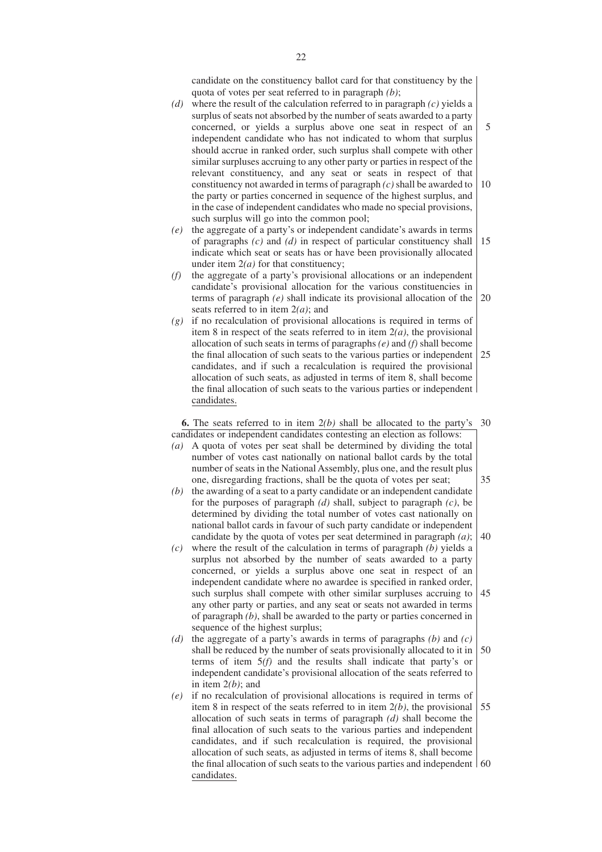candidate on the constituency ballot card for that constituency by the quota of votes per seat referred to in paragraph *(b)*;

- *(d)* where the result of the calculation referred to in paragraph *(c)* yields a surplus of seats not absorbed by the number of seats awarded to a party concerned, or yields a surplus above one seat in respect of an independent candidate who has not indicated to whom that surplus should accrue in ranked order, such surplus shall compete with other similar surpluses accruing to any other party or parties in respect of the relevant constituency, and any seat or seats in respect of that constituency not awarded in terms of paragraph *(c)* shall be awarded to the party or parties concerned in sequence of the highest surplus, and in the case of independent candidates who made no special provisions, such surplus will go into the common pool; 5 10
- *(e)* the aggregate of a party's or independent candidate's awards in terms of paragraphs *(c)* and *(d)* in respect of particular constituency shall indicate which seat or seats has or have been provisionally allocated under item 2*(a)* for that constituency; 15
- *(f)* the aggregate of a party's provisional allocations or an independent candidate's provisional allocation for the various constituencies in terms of paragraph *(e)* shall indicate its provisional allocation of the seats referred to in item 2*(a)*; and 20
- *(g)* if no recalculation of provisional allocations is required in terms of item 8 in respect of the seats referred to in item 2*(a)*, the provisional allocation of such seats in terms of paragraphs *(e)* and *(f)* shall become the final allocation of such seats to the various parties or independent candidates, and if such a recalculation is required the provisional allocation of such seats, as adjusted in terms of item 8, shall become the final allocation of such seats to the various parties or independent candidates. 25

**6.** The seats referred to in item 2*(b)* shall be allocated to the party's 30 candidates or independent candidates contesting an election as follows:

- *(a)* A quota of votes per seat shall be determined by dividing the total number of votes cast nationally on national ballot cards by the total number of seats in the National Assembly, plus one, and the result plus one, disregarding fractions, shall be the quota of votes per seat;
- *(b)* the awarding of a seat to a party candidate or an independent candidate for the purposes of paragraph *(d)* shall, subject to paragraph *(c)*, be determined by dividing the total number of votes cast nationally on national ballot cards in favour of such party candidate or independent candidate by the quota of votes per seat determined in paragraph *(a)*; 40
- *(c)* where the result of the calculation in terms of paragraph *(b)* yields a surplus not absorbed by the number of seats awarded to a party concerned, or yields a surplus above one seat in respect of an independent candidate where no awardee is specified in ranked order, such surplus shall compete with other similar surpluses accruing to any other party or parties, and any seat or seats not awarded in terms of paragraph *(b)*, shall be awarded to the party or parties concerned in sequence of the highest surplus; 45
- *(d)* the aggregate of a party's awards in terms of paragraphs *(b)* and *(c)* shall be reduced by the number of seats provisionally allocated to it in terms of item 5*(f)* and the results shall indicate that party's or independent candidate's provisional allocation of the seats referred to in item 2*(b)*; and 50
- *(e)* if no recalculation of provisional allocations is required in terms of item 8 in respect of the seats referred to in item 2*(b)*, the provisional allocation of such seats in terms of paragraph *(d)* shall become the final allocation of such seats to the various parties and independent candidates, and if such recalculation is required, the provisional allocation of such seats, as adjusted in terms of items 8, shall become the final allocation of such seats to the various parties and independent 60candidates. 55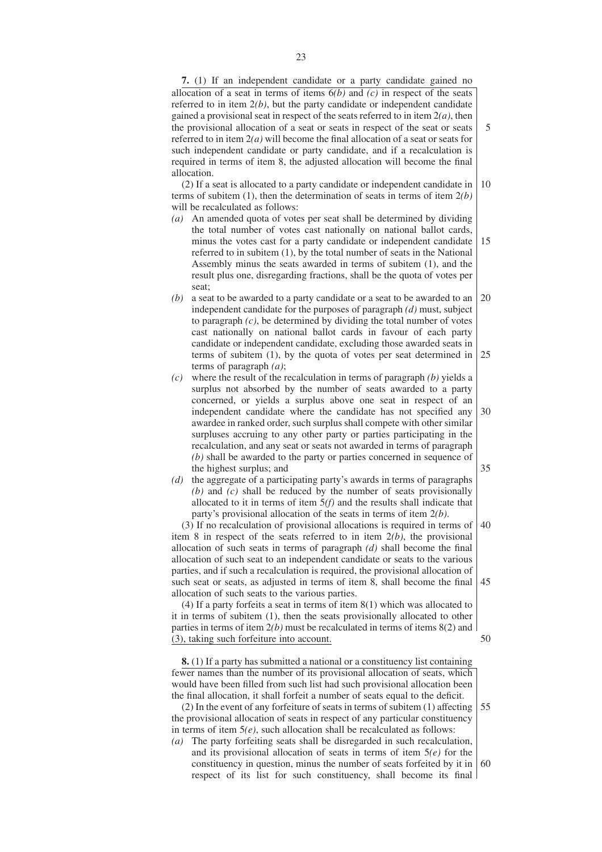**7.** (1) If an independent candidate or a party candidate gained no allocation of a seat in terms of items 6*(b)* and *(c)* in respect of the seats referred to in item 2*(b)*, but the party candidate or independent candidate gained a provisional seat in respect of the seats referred to in item 2*(a)*, then the provisional allocation of a seat or seats in respect of the seat or seats referred to in item 2*(a)* will become the final allocation of a seat or seats for such independent candidate or party candidate, and if a recalculation is required in terms of item 8, the adjusted allocation will become the final allocation.

5

(2) If a seat is allocated to a party candidate or independent candidate in terms of subitem (1), then the determination of seats in terms of item 2*(b)* will be recalculated as follows: 10

- *(a)* An amended quota of votes per seat shall be determined by dividing the total number of votes cast nationally on national ballot cards, minus the votes cast for a party candidate or independent candidate referred to in subitem (1), by the total number of seats in the National Assembly minus the seats awarded in terms of subitem (1), and the result plus one, disregarding fractions, shall be the quota of votes per seat; 15
- *(b)* a seat to be awarded to a party candidate or a seat to be awarded to an independent candidate for the purposes of paragraph *(d)* must, subject to paragraph *(c)*, be determined by dividing the total number of votes cast nationally on national ballot cards in favour of each party candidate or independent candidate, excluding those awarded seats in terms of subitem (1), by the quota of votes per seat determined in terms of paragraph *(a)*; 20 25
- *(c)* where the result of the recalculation in terms of paragraph *(b)* yields a surplus not absorbed by the number of seats awarded to a party concerned, or yields a surplus above one seat in respect of an independent candidate where the candidate has not specified any awardee in ranked order, such surplus shall compete with other similar surpluses accruing to any other party or parties participating in the recalculation, and any seat or seats not awarded in terms of paragraph *(b)* shall be awarded to the party or parties concerned in sequence of the highest surplus; and 30 35
- *(d)* the aggregate of a participating party's awards in terms of paragraphs *(b)* and *(c)* shall be reduced by the number of seats provisionally allocated to it in terms of item 5*(f)* and the results shall indicate that party's provisional allocation of the seats in terms of item 2*(b)*.

(3) If no recalculation of provisional allocations is required in terms of item 8 in respect of the seats referred to in item 2*(b)*, the provisional allocation of such seats in terms of paragraph *(d)* shall become the final allocation of such seat to an independent candidate or seats to the various parties, and if such a recalculation is required, the provisional allocation of such seat or seats, as adjusted in terms of item 8, shall become the final allocation of such seats to the various parties. 40 45

(4) If a party forfeits a seat in terms of item 8(1) which was allocated to it in terms of subitem (1), then the seats provisionally allocated to other parties in terms of item 2*(b)* must be recalculated in terms of items 8(2) and (3), taking such forfeiture into account. 50

**8.** (1) If a party has submitted a national or a constituency list containing fewer names than the number of its provisional allocation of seats, which would have been filled from such list had such provisional allocation been the final allocation, it shall forfeit a number of seats equal to the deficit.

(2) In the event of any forfeiture of seats in terms of subitem (1) affecting the provisional allocation of seats in respect of any particular constituency in terms of item 5*(e)*, such allocation shall be recalculated as follows: *(a)* The party forfeiting seats shall be disregarded in such recalculation, 55

and its provisional allocation of seats in terms of item 5*(e)* for the constituency in question, minus the number of seats forfeited by it in respect of its list for such constituency, shall become its final 60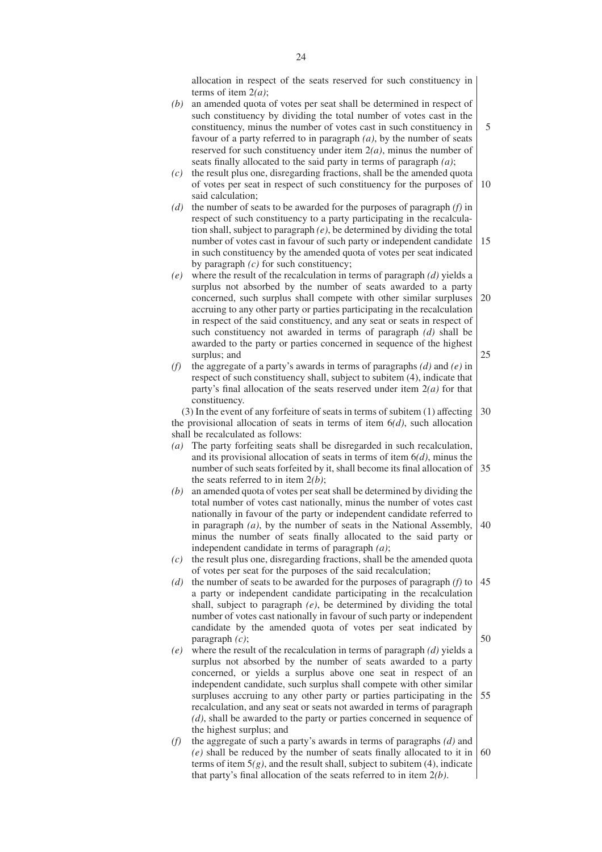allocation in respect of the seats reserved for such constituency in terms of item 2*(a)*;

*(b)* an amended quota of votes per seat shall be determined in respect of such constituency by dividing the total number of votes cast in the constituency, minus the number of votes cast in such constituency in favour of a party referred to in paragraph *(a)*, by the number of seats reserved for such constituency under item 2*(a)*, minus the number of seats finally allocated to the said party in terms of paragraph *(a)*;

*(c)* the result plus one, disregarding fractions, shall be the amended quota of votes per seat in respect of such constituency for the purposes of said calculation; 10

- *(d)* the number of seats to be awarded for the purposes of paragraph *(f)* in respect of such constituency to a party participating in the recalculation shall, subject to paragraph *(e)*, be determined by dividing the total number of votes cast in favour of such party or independent candidate in such constituency by the amended quota of votes per seat indicated by paragraph *(c)* for such constituency; 15
- *(e)* where the result of the recalculation in terms of paragraph *(d)* yields a surplus not absorbed by the number of seats awarded to a party concerned, such surplus shall compete with other similar surpluses accruing to any other party or parties participating in the recalculation in respect of the said constituency, and any seat or seats in respect of such constituency not awarded in terms of paragraph *(d)* shall be awarded to the party or parties concerned in sequence of the highest surplus; and 20 25
- *(f)* the aggregate of a party's awards in terms of paragraphs *(d)* and *(e)* in respect of such constituency shall, subject to subitem (4), indicate that party's final allocation of the seats reserved under item 2*(a)* for that constituency.

(3) In the event of any forfeiture of seats in terms of subitem (1) affecting the provisional allocation of seats in terms of item 6*(d)*, such allocation shall be recalculated as follows: 30

- *(a)* The party forfeiting seats shall be disregarded in such recalculation, and its provisional allocation of seats in terms of item 6*(d)*, minus the number of such seats forfeited by it, shall become its final allocation of the seats referred to in item 2*(b)*; 35
- *(b)* an amended quota of votes per seat shall be determined by dividing the total number of votes cast nationally, minus the number of votes cast nationally in favour of the party or independent candidate referred to in paragraph *(a)*, by the number of seats in the National Assembly, minus the number of seats finally allocated to the said party or independent candidate in terms of paragraph *(a)*; 40
- *(c)* the result plus one, disregarding fractions, shall be the amended quota of votes per seat for the purposes of the said recalculation;
- *(d)* the number of seats to be awarded for the purposes of paragraph *(f)* to a party or independent candidate participating in the recalculation shall, subject to paragraph *(e)*, be determined by dividing the total number of votes cast nationally in favour of such party or independent candidate by the amended quota of votes per seat indicated by paragraph *(c)*; 45 50
- *(e)* where the result of the recalculation in terms of paragraph *(d)* yields a surplus not absorbed by the number of seats awarded to a party concerned, or yields a surplus above one seat in respect of an independent candidate, such surplus shall compete with other similar surpluses accruing to any other party or parties participating in the recalculation, and any seat or seats not awarded in terms of paragraph *(d)*, shall be awarded to the party or parties concerned in sequence of the highest surplus; and 55
- *(f)* the aggregate of such a party's awards in terms of paragraphs *(d)* and *(e)* shall be reduced by the number of seats finally allocated to it in terms of item  $5(g)$ , and the result shall, subject to subitem  $(4)$ , indicate that party's final allocation of the seats referred to in item 2*(b)*. 60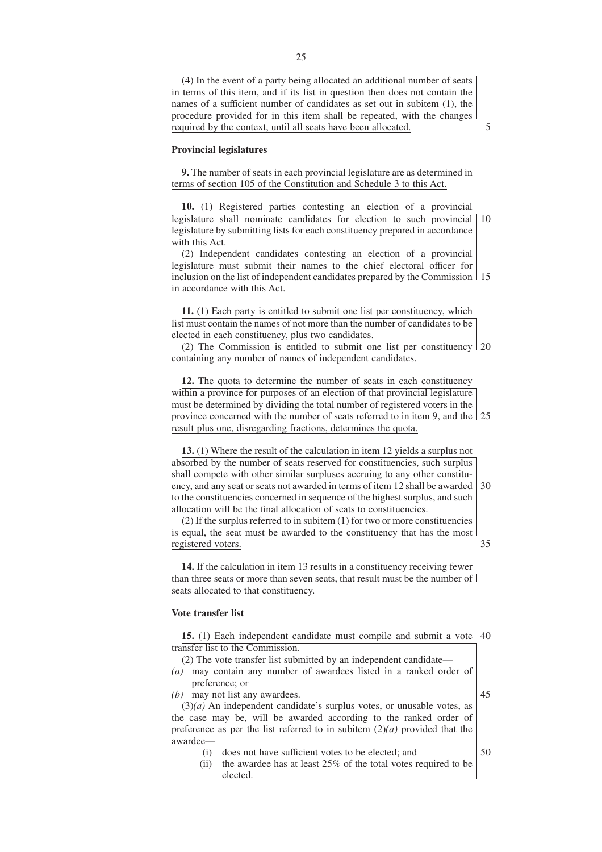(4) In the event of a party being allocated an additional number of seats in terms of this item, and if its list in question then does not contain the names of a sufficient number of candidates as set out in subitem (1), the procedure provided for in this item shall be repeated, with the changes required by the context, until all seats have been allocated.

**Provincial legislatures**

**9.** The number of seats in each provincial legislature are as determined in terms of section 105 of the Constitution and Schedule 3 to this Act.

**10.** (1) Registered parties contesting an election of a provincial legislature shall nominate candidates for election to such provincial 10 legislature by submitting lists for each constituency prepared in accordance with this Act.

(2) Independent candidates contesting an election of a provincial legislature must submit their names to the chief electoral officer for inclusion on the list of independent candidates prepared by the Commission 15 in accordance with this Act.

**11.** (1) Each party is entitled to submit one list per constituency, which list must contain the names of not more than the number of candidates to be elected in each constituency, plus two candidates.

(2) The Commission is entitled to submit one list per constituency 20 containing any number of names of independent candidates.

**12.** The quota to determine the number of seats in each constituency within a province for purposes of an election of that provincial legislature must be determined by dividing the total number of registered voters in the province concerned with the number of seats referred to in item 9, and the 25 result plus one, disregarding fractions, determines the quota.

**13.** (1) Where the result of the calculation in item 12 yields a surplus not absorbed by the number of seats reserved for constituencies, such surplus shall compete with other similar surpluses accruing to any other constituency, and any seat or seats not awarded in terms of item 12 shall be awarded to the constituencies concerned in sequence of the highest surplus, and such allocation will be the final allocation of seats to constituencies. 30

(2) If the surplus referred to in subitem (1) for two or more constituencies is equal, the seat must be awarded to the constituency that has the most registered voters.

**14.** If the calculation in item 13 results in a constituency receiving fewer than three seats or more than seven seats, that result must be the number of seats allocated to that constituency.

# **Vote transfer list**

**15.** (1) Each independent candidate must compile and submit a vote 40 transfer list to the Commission.

- (2) The vote transfer list submitted by an independent candidate— *(a)* may contain any number of awardees listed in a ranked order of
- preference; or
- *(b)* may not list any awardees.

(3)*(a)* An independent candidate's surplus votes, or unusable votes, as the case may be, will be awarded according to the ranked order of preference as per the list referred to in subitem  $(2)(a)$  provided that the awardee—

- (i) does not have sufficient votes to be elected; and
- (ii) the awardee has at least 25% of the total votes required to be elected.

45

50

35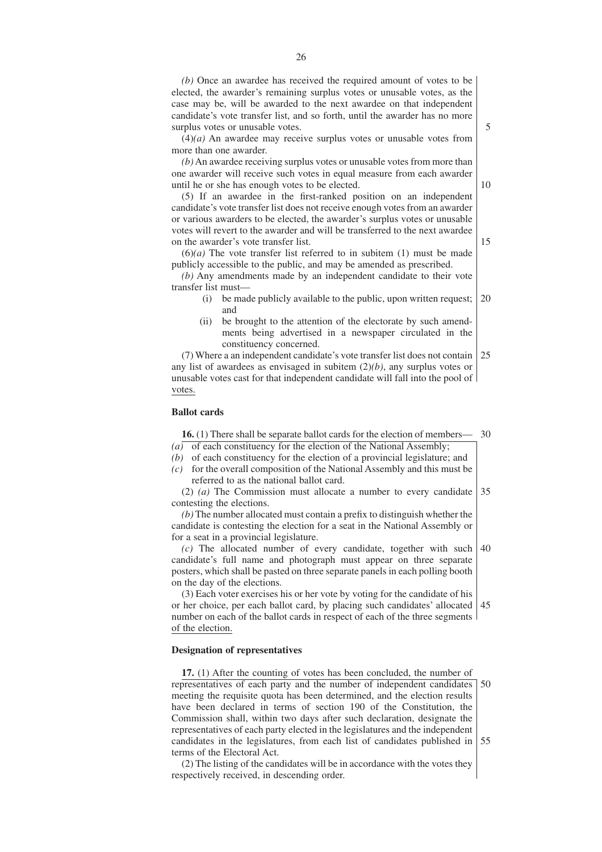*(b)* Once an awardee has received the required amount of votes to be elected, the awarder's remaining surplus votes or unusable votes, as the case may be, will be awarded to the next awardee on that independent candidate's vote transfer list, and so forth, until the awarder has no more surplus votes or unusable votes.

(4)*(a)* An awardee may receive surplus votes or unusable votes from more than one awarder.

*(b)* An awardee receiving surplus votes or unusable votes from more than one awarder will receive such votes in equal measure from each awarder until he or she has enough votes to be elected.

(5) If an awardee in the first-ranked position on an independent candidate's vote transfer list does not receive enough votes from an awarder or various awarders to be elected, the awarder's surplus votes or unusable votes will revert to the awarder and will be transferred to the next awardee on the awarder's vote transfer list.

 $(6)(a)$  The vote transfer list referred to in subitem  $(1)$  must be made publicly accessible to the public, and may be amended as prescribed.

*(b)* Any amendments made by an independent candidate to their vote transfer list must—

- (i) be made publicly available to the public, upon written request; and 20
- (ii) be brought to the attention of the electorate by such amendments being advertised in a newspaper circulated in the constituency concerned.

(7) Where a an independent candidate's vote transfer list does not contain any list of awardees as envisaged in subitem (2)*(b)*, any surplus votes or unusable votes cast for that independent candidate will fall into the pool of votes. 25

#### **Ballot cards**

**16.** (1) There shall be separate ballot cards for the election of members— 30

- $(a)$  of each constituency for the election of the National Assembly;
- *(b)* of each constituency for the election of a provincial legislature; and
- *(c)* for the overall composition of the National Assembly and this must be referred to as the national ballot card.

(2) *(a)* The Commission must allocate a number to every candidate contesting the elections. 35

*(b)* The number allocated must contain a prefix to distinguish whether the candidate is contesting the election for a seat in the National Assembly or for a seat in a provincial legislature.

*(c)* The allocated number of every candidate, together with such candidate's full name and photograph must appear on three separate posters, which shall be pasted on three separate panels in each polling booth on the day of the elections. 40

(3) Each voter exercises his or her vote by voting for the candidate of his or her choice, per each ballot card, by placing such candidates' allocated number on each of the ballot cards in respect of each of the three segments of the election. 45

# **Designation of representatives**

**17.** (1) After the counting of votes has been concluded, the number of representatives of each party and the number of independent candidates meeting the requisite quota has been determined, and the election results have been declared in terms of section 190 of the Constitution, the Commission shall, within two days after such declaration, designate the representatives of each party elected in the legislatures and the independent candidates in the legislatures, from each list of candidates published in 55terms of the Electoral Act. 50

(2) The listing of the candidates will be in accordance with the votes they respectively received, in descending order.

10

15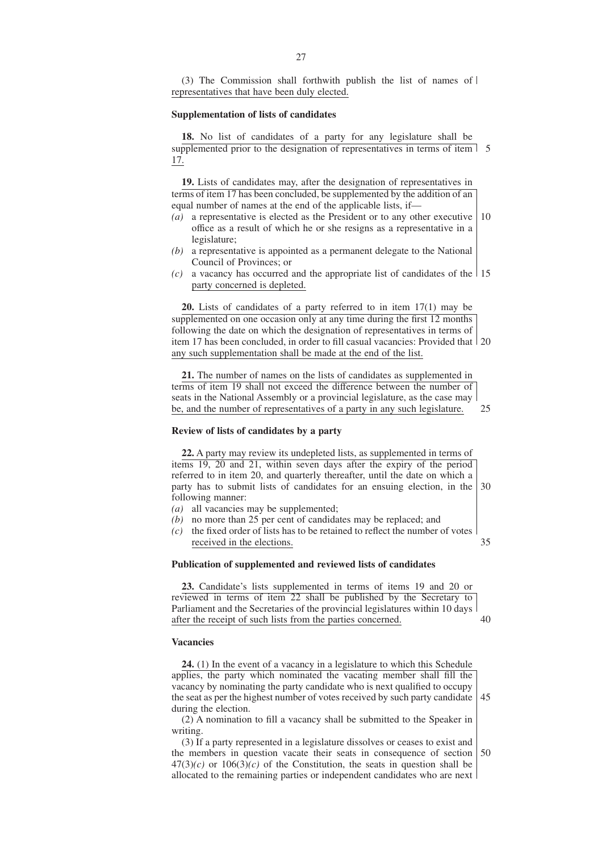(3) The Commission shall forthwith publish the list of names of representatives that have been duly elected.

#### **Supplementation of lists of candidates**

**18.** No list of candidates of a party for any legislature shall be supplemented prior to the designation of representatives in terms of item 5 17.

**19.** Lists of candidates may, after the designation of representatives in terms of item 17 has been concluded, be supplemented by the addition of an equal number of names at the end of the applicable lists, if—

- *(a)* a representative is elected as the President or to any other executive office as a result of which he or she resigns as a representative in a legislature; 10
- *(b)* a representative is appointed as a permanent delegate to the National Council of Provinces; or
- $(c)$  a vacancy has occurred and the appropriate list of candidates of the 15 party concerned is depleted.

**20.** Lists of candidates of a party referred to in item 17(1) may be supplemented on one occasion only at any time during the first 12 months following the date on which the designation of representatives in terms of item 17 has been concluded, in order to fill casual vacancies: Provided that 20 any such supplementation shall be made at the end of the list.

**21.** The number of names on the lists of candidates as supplemented in terms of item 19 shall not exceed the difference between the number of seats in the National Assembly or a provincial legislature, as the case may be, and the number of representatives of a party in any such legislature. 25

#### **Review of lists of candidates by a party**

**22.** A party may review its undepleted lists, as supplemented in terms of items 19, 20 and 21, within seven days after the expiry of the period referred to in item 20, and quarterly thereafter, until the date on which a party has to submit lists of candidates for an ensuing election, in the following manner: 30

- *(a)* all vacancies may be supplemented;
- *(b)* no more than 25 per cent of candidates may be replaced; and
- *(c)* the fixed order of lists has to be retained to reflect the number of votes received in the elections. 35

#### **Publication of supplemented and reviewed lists of candidates**

**23.** Candidate's lists supplemented in terms of items 19 and 20 or reviewed in terms of item 22 shall be published by the Secretary to Parliament and the Secretaries of the provincial legislatures within 10 days after the receipt of such lists from the parties concerned. 40

#### **Vacancies**

**24.** (1) In the event of a vacancy in a legislature to which this Schedule applies, the party which nominated the vacating member shall fill the vacancy by nominating the party candidate who is next qualified to occupy the seat as per the highest number of votes received by such party candidate during the election. 45

(2) A nomination to fill a vacancy shall be submitted to the Speaker in writing.

(3) If a party represented in a legislature dissolves or ceases to exist and the members in question vacate their seats in consequence of section  $47(3)(c)$  or  $106(3)(c)$  of the Constitution, the seats in question shall be allocated to the remaining parties or independent candidates who are next 50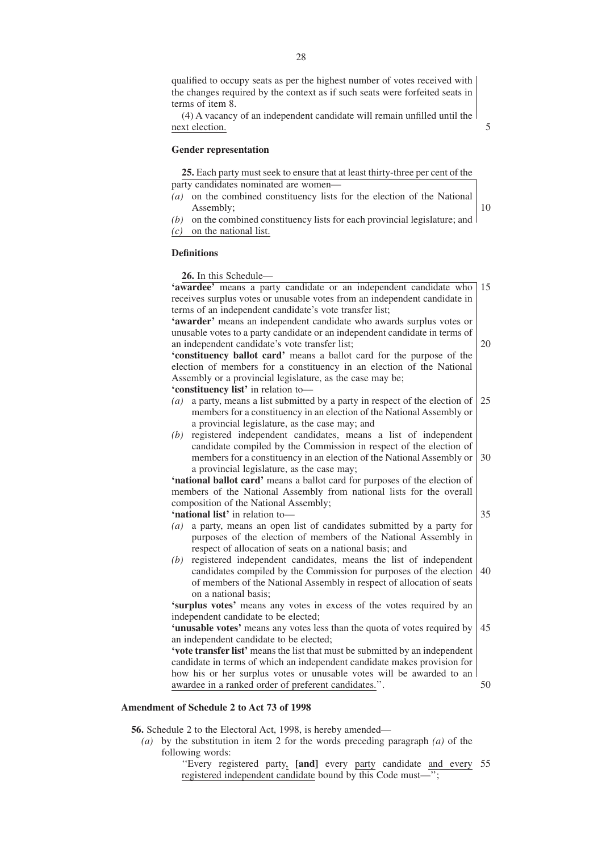qualified to occupy seats as per the highest number of votes received with the changes required by the context as if such seats were forfeited seats in terms of item 8.

(4) A vacancy of an independent candidate will remain unfilled until the next election.

5

## **Gender representation**

**25.** Each party must seek to ensure that at least thirty-three per cent of the party candidates nominated are women—

- *(a)* on the combined constituency lists for the election of the National Assembly;
- 10
- *(b)* on the combined constituency lists for each provincial legislature; and *(c)* on the national list.

# **Definitions**

**26.** In this Schedule— **'awardee'** means a party candidate or an independent candidate who receives surplus votes or unusable votes from an independent candidate in terms of an independent candidate's vote transfer list; **'awarder'** means an independent candidate who awards surplus votes or unusable votes to a party candidate or an independent candidate in terms of an independent candidate's vote transfer list; **'constituency ballot card'** means a ballot card for the purpose of the election of members for a constituency in an election of the National Assembly or a provincial legislature, as the case may be; **'constituency list'** in relation to— *(a)* a party, means a list submitted by a party in respect of the election of members for a constituency in an election of the National Assembly or a provincial legislature, as the case may; and *(b)* registered independent candidates, means a list of independent candidate compiled by the Commission in respect of the election of members for a constituency in an election of the National Assembly or a provincial legislature, as the case may; **'national ballot card'** means a ballot card for purposes of the election of members of the National Assembly from national lists for the overall composition of the National Assembly; **'national list'** in relation to— *(a)* a party, means an open list of candidates submitted by a party for purposes of the election of members of the National Assembly in respect of allocation of seats on a national basis; and *(b)* registered independent candidates, means the list of independent candidates compiled by the Commission for purposes of the election of members of the National Assembly in respect of allocation of seats on a national basis; **'surplus votes'** means any votes in excess of the votes required by an independent candidate to be elected; **'unusable votes'** means any votes less than the quota of votes required by an independent candidate to be elected; **'vote transfer list'** means the list that must be submitted by an independent candidate in terms of which an independent candidate makes provision for how his or her surplus votes or unusable votes will be awarded to an awardee in a ranked order of preferent candidates.''. 15 20 25 30 35 40 45 50

# **Amendment of Schedule 2 to Act 73 of 1998**

**56.** Schedule 2 to the Electoral Act, 1998, is hereby amended—

- *(a)* by the substitution in item 2 for the words preceding paragraph *(a)* of the following words:
	- ''Every registered party, **[and]** every party candidate and every 55registered independent candidate bound by this Code must—'';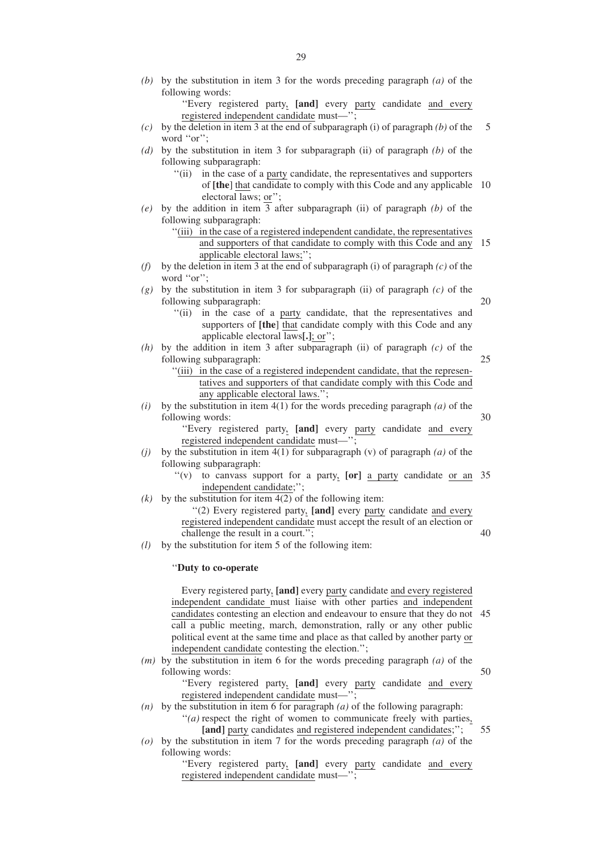*(b)* by the substitution in item 3 for the words preceding paragraph *(a)* of the following words:

''Every registered party, **[and]** every party candidate and every registered independent candidate must—'';

- *(c)* by the deletion in item 3 at the end of subparagraph (i) of paragraph *(b)* of the word "or"; 5
- *(d)* by the substitution in item 3 for subparagraph (ii) of paragraph *(b)* of the following subparagraph:
	- ''(ii) in the case of a party candidate, the representatives and supporters of **[the**] that candidate to comply with this Code and any applicable 10 electoral laws; or'';
- *(e)* by the addition in item 3 after subparagraph (ii) of paragraph *(b)* of the following subparagraph:
	- ''(iii) in the case of a registered independent candidate, the representatives and supporters of that candidate to comply with this Code and any 15 applicable electoral laws;'';
- *(f)* by the deletion in item 3 at the end of subparagraph *(i)* of paragraph *(c)* of the word "or";
- *(g)* by the substitution in item 3 for subparagraph (ii) of paragraph *(c)* of the following subparagraph: 20
	- "(ii) in the case of a party candidate, that the representatives and supporters of **[the**] that candidate comply with this Code and any applicable electoral laws**[.]**; or'';

25

40

55

- *(h)* by the addition in item 3 after subparagraph (ii) of paragraph *(c)* of the following subparagraph:
	- ''(iii) in the case of a registered independent candidate, that the representatives and supporters of that candidate comply with this Code and any applicable electoral laws.'';
- *(i)* by the substitution in item  $4(1)$  for the words preceding paragraph *(a)* of the following words: 30

''Every registered party, **[and]** every party candidate and every registered independent candidate must—

- *(j)* by the substitution in item 4(1) for subparagraph (v) of paragraph *(a)* of the following subparagraph:
	- ''(v) to canvass support for a party, **[or]** a party candidate or an 35 independent candidate;'';
- $(k)$  by the substitution for item  $4(2)$  of the following item:

''(2) Every registered party, **[and]** every party candidate and every registered independent candidate must accept the result of an election or challenge the result in a court.'';

*(l)* by the substitution for item 5 of the following item:

## ''**Duty to co-operate**

Every registered party, **[and]** every party candidate and every registered independent candidate must liaise with other parties and independent candidates contesting an election and endeavour to ensure that they do not 45 call a public meeting, march, demonstration, rally or any other public political event at the same time and place as that called by another party or independent candidate contesting the election.'';

*(m)* by the substitution in item 6 for the words preceding paragraph *(a)* of the following words: 50

> ''Every registered party, **[and]** every party candidate and every registered independent candidate must—'';

- *(n)* by the substitution in item 6 for paragraph *(a)* of the following paragraph: "*(a)* respect the right of women to communicate freely with parties, [and] party candidates and registered independent candidates;";
- *(o)* by the substitution in item 7 for the words preceding paragraph *(a)* of the following words:

''Every registered party, **[and]** every party candidate and every registered independent candidate must—'';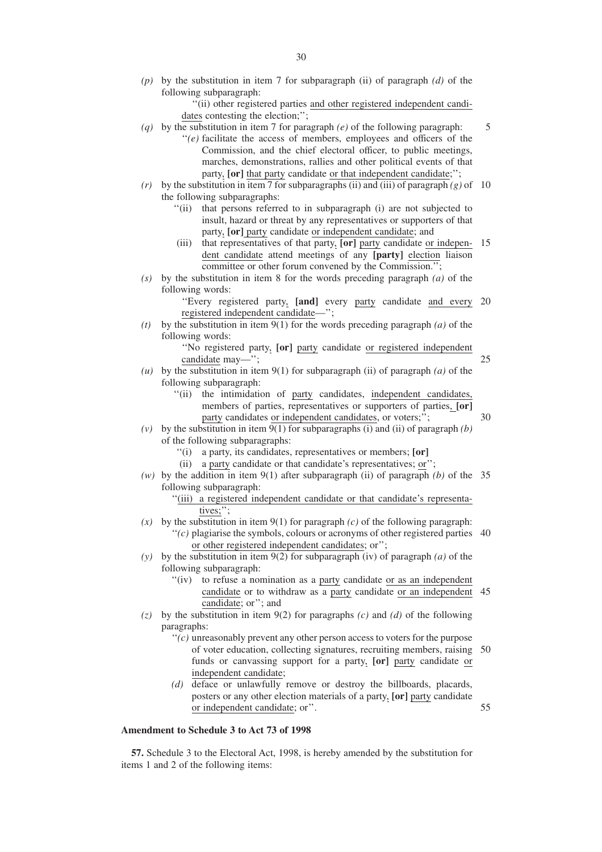*(p)* by the substitution in item 7 for subparagraph (ii) of paragraph *(d)* of the following subparagraph:

> ''(ii) other registered parties and other registered independent candidates contesting the election;";

- *(q)* by the substitution in item 7 for paragraph *(e)* of the following paragraph: ''*(e)* facilitate the access of members, employees and officers of the
	- Commission, and the chief electoral officer, to public meetings, marches, demonstrations, rallies and other political events of that party, **[or]** that party candidate or that independent candidate;'';
- $(r)$  by the substitution in item 7 for subparagraphs (ii) and (iii) of paragraph  $(g)$  of 10 the following subparagraphs:
	- ''(ii) that persons referred to in subparagraph (i) are not subjected to insult, hazard or threat by any representatives or supporters of that party, **[or]** party candidate or independent candidate; and
	- (iii) that representatives of that party, **[or]** party candidate or indepen-15 dent candidate attend meetings of any **[party]** election liaison committee or other forum convened by the Commission.";
- *(s)* by the substitution in item 8 for the words preceding paragraph *(a)* of the following words:

''Every registered party, **[and]** every party candidate and every 20 registered independent candidate—'';

- *(t)* by the substitution in item 9(1) for the words preceding paragraph *(a)* of the following words:
	- ''No registered party, **[or]** party candidate or registered independent candidate may—'';
- *(u)* by the substitution in item 9(1) for subparagraph (ii) of paragraph *(a)* of the following subparagraph:
	- ''(ii) the intimidation of party candidates, independent candidates, members of parties, representatives or supporters of parties, **[or]** party candidates or independent candidates, or voters;";

30

25

5

- (*v*) by the substitution in item  $\overline{9(1)}$  for subparagraphs (i) and (ii) of paragraph *(b)* of the following subparagraphs:
	- ''(i) a party, its candidates, representatives or members; **[or]**
	- (ii) a party candidate or that candidate's representatives; or'';
- *(w)* by the addition in item 9(1) after subparagraph (ii) of paragraph *(b)* of the 35 following subparagraph:
	- "(iii) a registered independent candidate or that candidate's representatives;'';
- $(x)$  by the substitution in item 9(1) for paragraph *(c)* of the following paragraph:  $''(c)$  plagiarise the symbols, colours or acronyms of other registered parties 40

or other registered independent candidates; or'';

- *(y)* by the substitution in item 9(2) for subparagraph (iv) of paragraph *(a)* of the following subparagraph:
	- "(iv) to refuse a nomination as a party candidate or as an independent candidate or to withdraw as a party candidate or an independent 45 candidate; or''; and
- *(z)* by the substitution in item 9(2) for paragraphs *(c)* and *(d)* of the following paragraphs:
	- ''*(c)* unreasonably prevent any other person access to voters for the purpose of voter education, collecting signatures, recruiting members, raising 50 funds or canvassing support for a party, **[or]** party candidate or independent candidate;
	- *(d)* deface or unlawfully remove or destroy the billboards, placards, posters or any other election materials of a party, **[or]** party candidate or independent candidate; or''. 55

# **Amendment to Schedule 3 to Act 73 of 1998**

**57.** Schedule 3 to the Electoral Act, 1998, is hereby amended by the substitution for items 1 and 2 of the following items: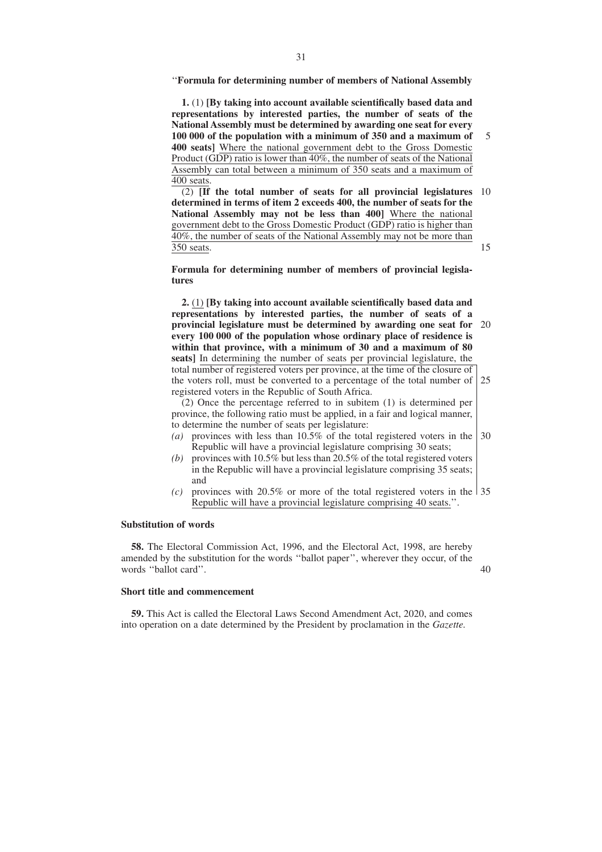''**Formula for determining number of members of National Assembly**

**1.** (1) **[By taking into account available scientifically based data and representations by interested parties, the number of seats of the National Assembly must be determined by awarding one seat for every 100 000 of the population with a minimum of 350 and a maximum of 400 seats]** Where the national government debt to the Gross Domestic Product (GDP) ratio is lower than 40%, the number of seats of the National Assembly can total between a minimum of 350 seats and a maximum of 400 seats. 5

(2) **[If the total number of seats for all provincial legislatures** 10 **determined in terms of item 2 exceeds 400, the number of seats for the National Assembly may not be less than 400]** Where the national government debt to the Gross Domestic Product (GDP) ratio is higher than 40%, the number of seats of the National Assembly may not be more than 350 seats. 15

**Formula for determining number of members of provincial legislatures**

**2.** (1) **[By taking into account available scientifically based data and representations by interested parties, the number of seats of a provincial legislature must be determined by awarding one seat for** 20 **every 100 000 of the population whose ordinary place of residence is within that province, with a minimum of 30 and a maximum of 80 seats]** In determining the number of seats per provincial legislature, the total number of registered voters per province, at the time of the closure of the voters roll, must be converted to a percentage of the total number of registered voters in the Republic of South Africa. 25

(2) Once the percentage referred to in subitem (1) is determined per province, the following ratio must be applied, in a fair and logical manner, to determine the number of seats per legislature:

- *(a)* provinces with less than 10.5% of the total registered voters in the Republic will have a provincial legislature comprising 30 seats; 30
- *(b)* provinces with 10.5% but less than 20.5% of the total registered voters in the Republic will have a provincial legislature comprising 35 seats; and
- *(c)* provinces with 20.5% or more of the total registered voters in the 35 Republic will have a provincial legislature comprising 40 seats.''.

#### **Substitution of words**

**58.** The Electoral Commission Act, 1996, and the Electoral Act, 1998, are hereby amended by the substitution for the words ''ballot paper'', wherever they occur, of the words ''ballot card''.

#### **Short title and commencement**

**59.** This Act is called the Electoral Laws Second Amendment Act, 2020, and comes into operation on a date determined by the President by proclamation in the *Gazette.*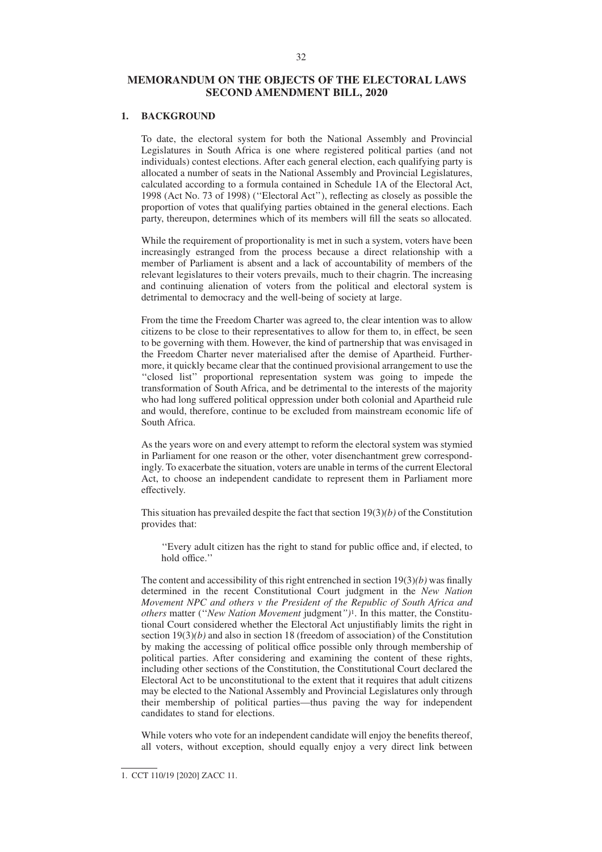# **MEMORANDUM ON THE OBJECTS OF THE ELECTORAL LAWS SECOND AMENDMENT BILL, 2020**

# **1. BACKGROUND**

To date, the electoral system for both the National Assembly and Provincial Legislatures in South Africa is one where registered political parties (and not individuals) contest elections. After each general election, each qualifying party is allocated a number of seats in the National Assembly and Provincial Legislatures, calculated according to a formula contained in Schedule 1A of the Electoral Act, 1998 (Act No. 73 of 1998) (''Electoral Act''), reflecting as closely as possible the proportion of votes that qualifying parties obtained in the general elections. Each party, thereupon, determines which of its members will fill the seats so allocated.

While the requirement of proportionality is met in such a system, voters have been increasingly estranged from the process because a direct relationship with a member of Parliament is absent and a lack of accountability of members of the relevant legislatures to their voters prevails, much to their chagrin. The increasing and continuing alienation of voters from the political and electoral system is detrimental to democracy and the well-being of society at large.

From the time the Freedom Charter was agreed to, the clear intention was to allow citizens to be close to their representatives to allow for them to, in effect, be seen to be governing with them. However, the kind of partnership that was envisaged in the Freedom Charter never materialised after the demise of Apartheid. Furthermore, it quickly became clear that the continued provisional arrangement to use the ''closed list'' proportional representation system was going to impede the transformation of South Africa, and be detrimental to the interests of the majority who had long suffered political oppression under both colonial and Apartheid rule and would, therefore, continue to be excluded from mainstream economic life of South Africa.

As the years wore on and every attempt to reform the electoral system was stymied in Parliament for one reason or the other, voter disenchantment grew correspondingly. To exacerbate the situation, voters are unable in terms of the current Electoral Act, to choose an independent candidate to represent them in Parliament more effectively.

This situation has prevailed despite the fact that section 19(3)*(b)* of the Constitution provides that:

''Every adult citizen has the right to stand for public office and, if elected, to hold office.''

The content and accessibility of this right entrenched in section 19(3)*(b)* was finally determined in the recent Constitutional Court judgment in the *New Nation Movement NPC and others v the President of the Republic of South Africa and others* matter (''*New Nation Movement* judgment*'')*1. In this matter, the Constitutional Court considered whether the Electoral Act unjustifiably limits the right in section 19(3)*(b)* and also in section 18 (freedom of association) of the Constitution by making the accessing of political office possible only through membership of political parties. After considering and examining the content of these rights, including other sections of the Constitution, the Constitutional Court declared the Electoral Act to be unconstitutional to the extent that it requires that adult citizens may be elected to the National Assembly and Provincial Legislatures only through their membership of political parties—thus paving the way for independent candidates to stand for elections.

While voters who vote for an independent candidate will enjoy the benefits thereof, all voters, without exception, should equally enjoy a very direct link between

<sup>1.</sup> CCT 110/19 [2020] ZACC 11.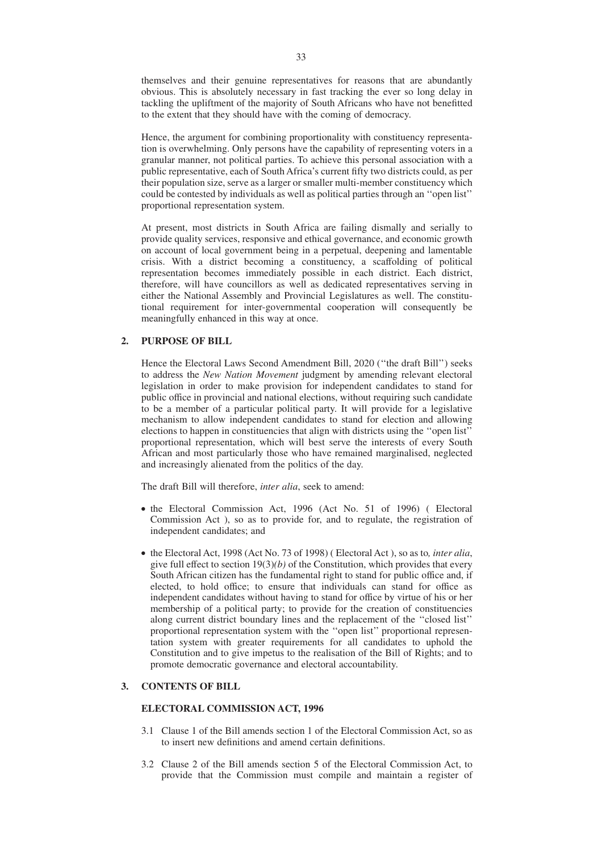themselves and their genuine representatives for reasons that are abundantly obvious. This is absolutely necessary in fast tracking the ever so long delay in tackling the upliftment of the majority of South Africans who have not benefitted to the extent that they should have with the coming of democracy.

Hence, the argument for combining proportionality with constituency representation is overwhelming. Only persons have the capability of representing voters in a granular manner, not political parties. To achieve this personal association with a public representative, each of South Africa's current fifty two districts could, as per their population size, serve as a larger or smaller multi-member constituency which could be contested by individuals as well as political parties through an ''open list'' proportional representation system.

At present, most districts in South Africa are failing dismally and serially to provide quality services, responsive and ethical governance, and economic growth on account of local government being in a perpetual, deepening and lamentable crisis. With a district becoming a constituency, a scaffolding of political representation becomes immediately possible in each district. Each district, therefore, will have councillors as well as dedicated representatives serving in either the National Assembly and Provincial Legislatures as well. The constitutional requirement for inter-governmental cooperation will consequently be meaningfully enhanced in this way at once.

# **2. PURPOSE OF BILL**

Hence the Electoral Laws Second Amendment Bill, 2020 (''the draft Bill'') seeks to address the *New Nation Movement* judgment by amending relevant electoral legislation in order to make provision for independent candidates to stand for public office in provincial and national elections, without requiring such candidate to be a member of a particular political party. It will provide for a legislative mechanism to allow independent candidates to stand for election and allowing elections to happen in constituencies that align with districts using the ''open list'' proportional representation, which will best serve the interests of every South African and most particularly those who have remained marginalised, neglected and increasingly alienated from the politics of the day.

The draft Bill will therefore, *inter alia*, seek to amend:

- the Electoral Commission Act, 1996 (Act No. 51 of 1996) (Electoral Commission Act ), so as to provide for, and to regulate, the registration of independent candidates; and
- the Electoral Act, 1998 (Act No. 73 of 1998) ( Electoral Act ), so as to*, inter alia*, give full effect to section 19(3)*(b)* of the Constitution, which provides that every South African citizen has the fundamental right to stand for public office and, if elected, to hold office; to ensure that individuals can stand for office as independent candidates without having to stand for office by virtue of his or her membership of a political party; to provide for the creation of constituencies along current district boundary lines and the replacement of the ''closed list'' proportional representation system with the ''open list'' proportional representation system with greater requirements for all candidates to uphold the Constitution and to give impetus to the realisation of the Bill of Rights; and to promote democratic governance and electoral accountability.

## **3. CONTENTS OF BILL**

# **ELECTORAL COMMISSION ACT, 1996**

- 3.1 Clause 1 of the Bill amends section 1 of the Electoral Commission Act, so as to insert new definitions and amend certain definitions.
- 3.2 Clause 2 of the Bill amends section 5 of the Electoral Commission Act, to provide that the Commission must compile and maintain a register of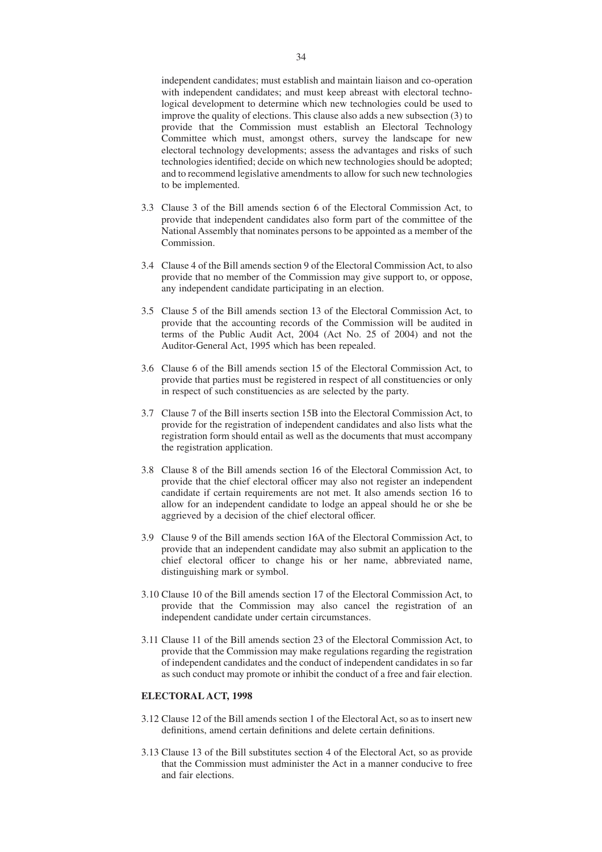independent candidates; must establish and maintain liaison and co-operation with independent candidates; and must keep abreast with electoral technological development to determine which new technologies could be used to improve the quality of elections. This clause also adds a new subsection (3) to provide that the Commission must establish an Electoral Technology Committee which must, amongst others, survey the landscape for new electoral technology developments; assess the advantages and risks of such technologies identified; decide on which new technologies should be adopted; and to recommend legislative amendments to allow for such new technologies to be implemented.

- 3.3 Clause 3 of the Bill amends section 6 of the Electoral Commission Act, to provide that independent candidates also form part of the committee of the National Assembly that nominates persons to be appointed as a member of the Commission.
- 3.4 Clause 4 of the Bill amends section 9 of the Electoral Commission Act, to also provide that no member of the Commission may give support to, or oppose, any independent candidate participating in an election.
- 3.5 Clause 5 of the Bill amends section 13 of the Electoral Commission Act, to provide that the accounting records of the Commission will be audited in terms of the Public Audit Act, 2004 (Act No. 25 of 2004) and not the Auditor-General Act, 1995 which has been repealed.
- 3.6 Clause 6 of the Bill amends section 15 of the Electoral Commission Act, to provide that parties must be registered in respect of all constituencies or only in respect of such constituencies as are selected by the party.
- 3.7 Clause 7 of the Bill inserts section 15B into the Electoral Commission Act, to provide for the registration of independent candidates and also lists what the registration form should entail as well as the documents that must accompany the registration application.
- 3.8 Clause 8 of the Bill amends section 16 of the Electoral Commission Act, to provide that the chief electoral officer may also not register an independent candidate if certain requirements are not met. It also amends section 16 to allow for an independent candidate to lodge an appeal should he or she be aggrieved by a decision of the chief electoral officer.
- 3.9 Clause 9 of the Bill amends section 16A of the Electoral Commission Act, to provide that an independent candidate may also submit an application to the chief electoral officer to change his or her name, abbreviated name, distinguishing mark or symbol.
- 3.10 Clause 10 of the Bill amends section 17 of the Electoral Commission Act, to provide that the Commission may also cancel the registration of an independent candidate under certain circumstances.
- 3.11 Clause 11 of the Bill amends section 23 of the Electoral Commission Act, to provide that the Commission may make regulations regarding the registration of independent candidates and the conduct of independent candidates in so far as such conduct may promote or inhibit the conduct of a free and fair election.

#### **ELECTORAL ACT, 1998**

- 3.12 Clause 12 of the Bill amends section 1 of the Electoral Act, so as to insert new definitions, amend certain definitions and delete certain definitions.
- 3.13 Clause 13 of the Bill substitutes section 4 of the Electoral Act, so as provide that the Commission must administer the Act in a manner conducive to free and fair elections.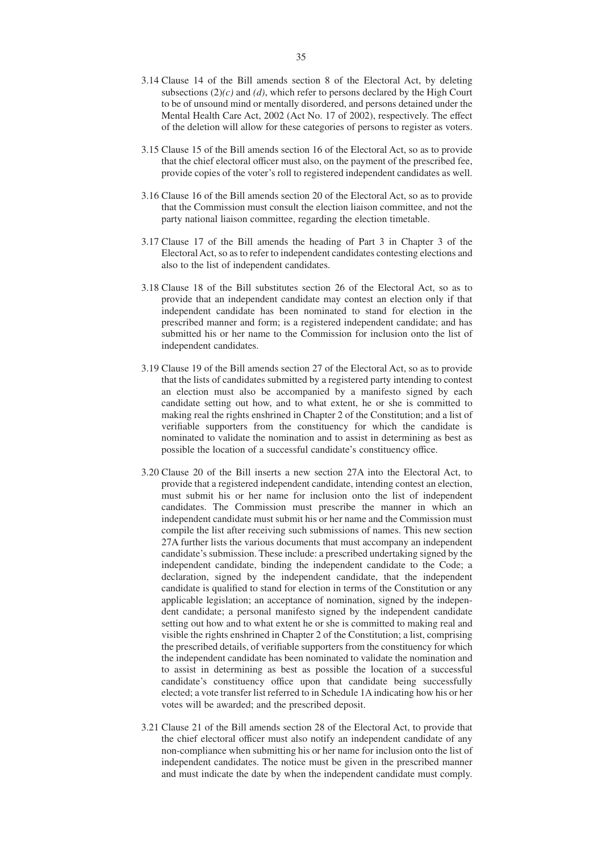- 3.14 Clause 14 of the Bill amends section 8 of the Electoral Act, by deleting subsections (2)*(c)* and *(d)*, which refer to persons declared by the High Court to be of unsound mind or mentally disordered, and persons detained under the Mental Health Care Act, 2002 (Act No. 17 of 2002), respectively. The effect of the deletion will allow for these categories of persons to register as voters.
- 3.15 Clause 15 of the Bill amends section 16 of the Electoral Act, so as to provide that the chief electoral officer must also, on the payment of the prescribed fee, provide copies of the voter's roll to registered independent candidates as well.
- 3.16 Clause 16 of the Bill amends section 20 of the Electoral Act, so as to provide that the Commission must consult the election liaison committee, and not the party national liaison committee, regarding the election timetable.
- 3.17 Clause 17 of the Bill amends the heading of Part 3 in Chapter 3 of the Electoral Act, so as to refer to independent candidates contesting elections and also to the list of independent candidates.
- 3.18 Clause 18 of the Bill substitutes section 26 of the Electoral Act, so as to provide that an independent candidate may contest an election only if that independent candidate has been nominated to stand for election in the prescribed manner and form; is a registered independent candidate; and has submitted his or her name to the Commission for inclusion onto the list of independent candidates.
- 3.19 Clause 19 of the Bill amends section 27 of the Electoral Act, so as to provide that the lists of candidates submitted by a registered party intending to contest an election must also be accompanied by a manifesto signed by each candidate setting out how, and to what extent, he or she is committed to making real the rights enshrined in Chapter 2 of the Constitution; and a list of verifiable supporters from the constituency for which the candidate is nominated to validate the nomination and to assist in determining as best as possible the location of a successful candidate's constituency office.
- 3.20 Clause 20 of the Bill inserts a new section 27A into the Electoral Act, to provide that a registered independent candidate, intending contest an election, must submit his or her name for inclusion onto the list of independent candidates. The Commission must prescribe the manner in which an independent candidate must submit his or her name and the Commission must compile the list after receiving such submissions of names. This new section 27A further lists the various documents that must accompany an independent candidate's submission. These include: a prescribed undertaking signed by the independent candidate, binding the independent candidate to the Code; a declaration, signed by the independent candidate, that the independent candidate is qualified to stand for election in terms of the Constitution or any applicable legislation; an acceptance of nomination, signed by the independent candidate; a personal manifesto signed by the independent candidate setting out how and to what extent he or she is committed to making real and visible the rights enshrined in Chapter 2 of the Constitution; a list, comprising the prescribed details, of verifiable supporters from the constituency for which the independent candidate has been nominated to validate the nomination and to assist in determining as best as possible the location of a successful candidate's constituency office upon that candidate being successfully elected; a vote transfer list referred to in Schedule 1A indicating how his or her votes will be awarded; and the prescribed deposit.
- 3.21 Clause 21 of the Bill amends section 28 of the Electoral Act, to provide that the chief electoral officer must also notify an independent candidate of any non-compliance when submitting his or her name for inclusion onto the list of independent candidates. The notice must be given in the prescribed manner and must indicate the date by when the independent candidate must comply.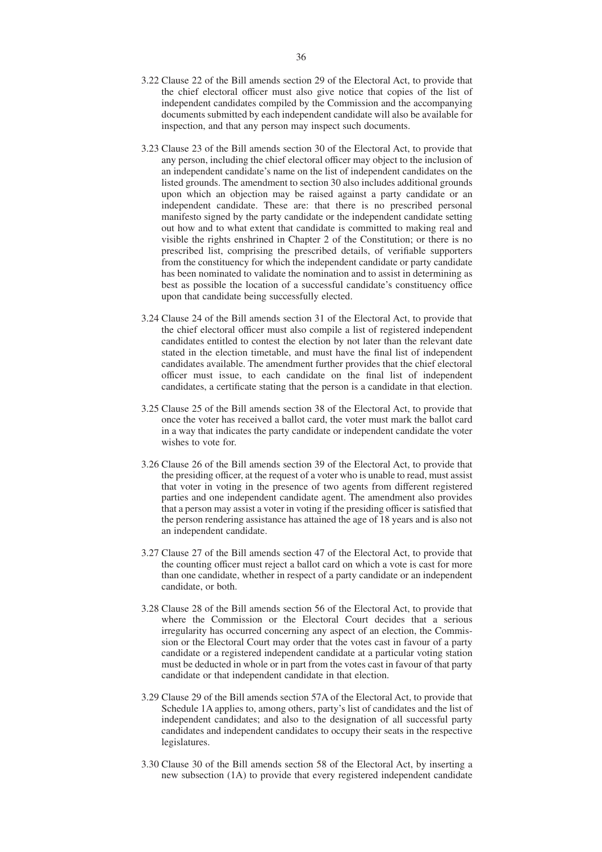- 3.22 Clause 22 of the Bill amends section 29 of the Electoral Act, to provide that the chief electoral officer must also give notice that copies of the list of independent candidates compiled by the Commission and the accompanying documents submitted by each independent candidate will also be available for inspection, and that any person may inspect such documents.
- 3.23 Clause 23 of the Bill amends section 30 of the Electoral Act, to provide that any person, including the chief electoral officer may object to the inclusion of an independent candidate's name on the list of independent candidates on the listed grounds. The amendment to section 30 also includes additional grounds upon which an objection may be raised against a party candidate or an independent candidate. These are: that there is no prescribed personal manifesto signed by the party candidate or the independent candidate setting out how and to what extent that candidate is committed to making real and visible the rights enshrined in Chapter 2 of the Constitution; or there is no prescribed list, comprising the prescribed details, of verifiable supporters from the constituency for which the independent candidate or party candidate has been nominated to validate the nomination and to assist in determining as best as possible the location of a successful candidate's constituency office upon that candidate being successfully elected.
- 3.24 Clause 24 of the Bill amends section 31 of the Electoral Act, to provide that the chief electoral officer must also compile a list of registered independent candidates entitled to contest the election by not later than the relevant date stated in the election timetable, and must have the final list of independent candidates available. The amendment further provides that the chief electoral officer must issue, to each candidate on the final list of independent candidates, a certificate stating that the person is a candidate in that election.
- 3.25 Clause 25 of the Bill amends section 38 of the Electoral Act, to provide that once the voter has received a ballot card, the voter must mark the ballot card in a way that indicates the party candidate or independent candidate the voter wishes to vote for.
- 3.26 Clause 26 of the Bill amends section 39 of the Electoral Act, to provide that the presiding officer, at the request of a voter who is unable to read, must assist that voter in voting in the presence of two agents from different registered parties and one independent candidate agent. The amendment also provides that a person may assist a voter in voting if the presiding officer is satisfied that the person rendering assistance has attained the age of 18 years and is also not an independent candidate.
- 3.27 Clause 27 of the Bill amends section 47 of the Electoral Act, to provide that the counting officer must reject a ballot card on which a vote is cast for more than one candidate, whether in respect of a party candidate or an independent candidate, or both.
- 3.28 Clause 28 of the Bill amends section 56 of the Electoral Act, to provide that where the Commission or the Electoral Court decides that a serious irregularity has occurred concerning any aspect of an election, the Commission or the Electoral Court may order that the votes cast in favour of a party candidate or a registered independent candidate at a particular voting station must be deducted in whole or in part from the votes cast in favour of that party candidate or that independent candidate in that election.
- 3.29 Clause 29 of the Bill amends section 57A of the Electoral Act, to provide that Schedule 1A applies to, among others, party's list of candidates and the list of independent candidates; and also to the designation of all successful party candidates and independent candidates to occupy their seats in the respective legislatures.
- 3.30 Clause 30 of the Bill amends section 58 of the Electoral Act, by inserting a new subsection (1A) to provide that every registered independent candidate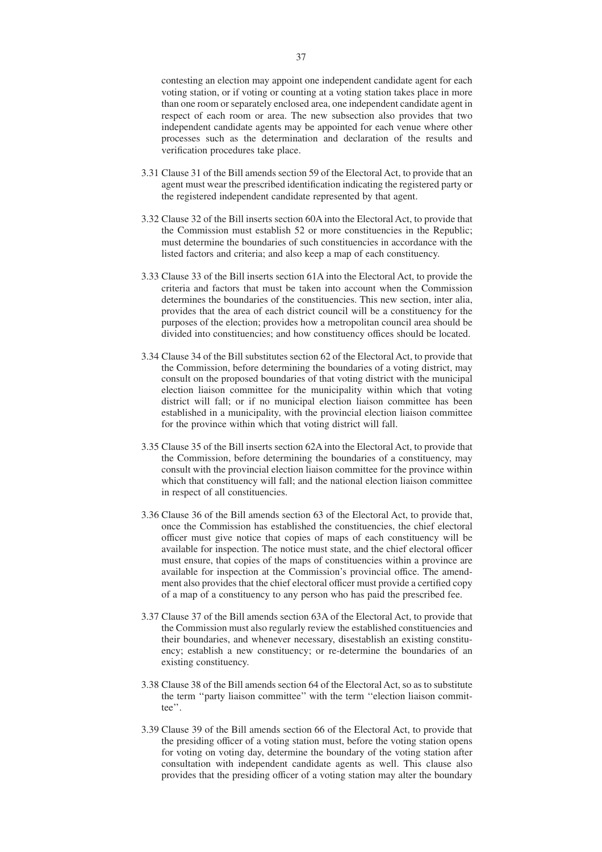contesting an election may appoint one independent candidate agent for each voting station, or if voting or counting at a voting station takes place in more than one room or separately enclosed area, one independent candidate agent in respect of each room or area. The new subsection also provides that two independent candidate agents may be appointed for each venue where other processes such as the determination and declaration of the results and verification procedures take place.

- 3.31 Clause 31 of the Bill amends section 59 of the Electoral Act, to provide that an agent must wear the prescribed identification indicating the registered party or the registered independent candidate represented by that agent.
- 3.32 Clause 32 of the Bill inserts section 60A into the Electoral Act, to provide that the Commission must establish 52 or more constituencies in the Republic; must determine the boundaries of such constituencies in accordance with the listed factors and criteria; and also keep a map of each constituency.
- 3.33 Clause 33 of the Bill inserts section 61A into the Electoral Act, to provide the criteria and factors that must be taken into account when the Commission determines the boundaries of the constituencies. This new section, inter alia, provides that the area of each district council will be a constituency for the purposes of the election; provides how a metropolitan council area should be divided into constituencies; and how constituency offices should be located.
- 3.34 Clause 34 of the Bill substitutes section 62 of the Electoral Act, to provide that the Commission, before determining the boundaries of a voting district, may consult on the proposed boundaries of that voting district with the municipal election liaison committee for the municipality within which that voting district will fall; or if no municipal election liaison committee has been established in a municipality, with the provincial election liaison committee for the province within which that voting district will fall.
- 3.35 Clause 35 of the Bill inserts section 62A into the Electoral Act, to provide that the Commission, before determining the boundaries of a constituency, may consult with the provincial election liaison committee for the province within which that constituency will fall; and the national election liaison committee in respect of all constituencies.
- 3.36 Clause 36 of the Bill amends section 63 of the Electoral Act, to provide that, once the Commission has established the constituencies, the chief electoral officer must give notice that copies of maps of each constituency will be available for inspection. The notice must state, and the chief electoral officer must ensure, that copies of the maps of constituencies within a province are available for inspection at the Commission's provincial office. The amendment also provides that the chief electoral officer must provide a certified copy of a map of a constituency to any person who has paid the prescribed fee.
- 3.37 Clause 37 of the Bill amends section 63A of the Electoral Act, to provide that the Commission must also regularly review the established constituencies and their boundaries, and whenever necessary, disestablish an existing constituency; establish a new constituency; or re-determine the boundaries of an existing constituency.
- 3.38 Clause 38 of the Bill amends section 64 of the Electoral Act, so as to substitute the term ''party liaison committee'' with the term ''election liaison committee''.
- 3.39 Clause 39 of the Bill amends section 66 of the Electoral Act, to provide that the presiding officer of a voting station must, before the voting station opens for voting on voting day, determine the boundary of the voting station after consultation with independent candidate agents as well. This clause also provides that the presiding officer of a voting station may alter the boundary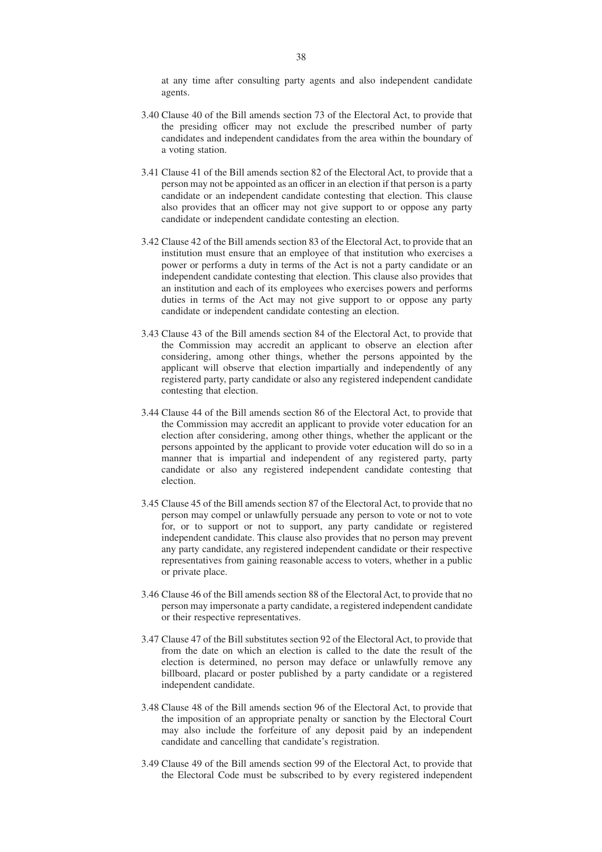at any time after consulting party agents and also independent candidate agents.

- 3.40 Clause 40 of the Bill amends section 73 of the Electoral Act, to provide that the presiding officer may not exclude the prescribed number of party candidates and independent candidates from the area within the boundary of a voting station.
- 3.41 Clause 41 of the Bill amends section 82 of the Electoral Act, to provide that a person may not be appointed as an officer in an election if that person is a party candidate or an independent candidate contesting that election. This clause also provides that an officer may not give support to or oppose any party candidate or independent candidate contesting an election.
- 3.42 Clause 42 of the Bill amends section 83 of the Electoral Act, to provide that an institution must ensure that an employee of that institution who exercises a power or performs a duty in terms of the Act is not a party candidate or an independent candidate contesting that election. This clause also provides that an institution and each of its employees who exercises powers and performs duties in terms of the Act may not give support to or oppose any party candidate or independent candidate contesting an election.
- 3.43 Clause 43 of the Bill amends section 84 of the Electoral Act, to provide that the Commission may accredit an applicant to observe an election after considering, among other things, whether the persons appointed by the applicant will observe that election impartially and independently of any registered party, party candidate or also any registered independent candidate contesting that election.
- 3.44 Clause 44 of the Bill amends section 86 of the Electoral Act, to provide that the Commission may accredit an applicant to provide voter education for an election after considering, among other things, whether the applicant or the persons appointed by the applicant to provide voter education will do so in a manner that is impartial and independent of any registered party, party candidate or also any registered independent candidate contesting that election.
- 3.45 Clause 45 of the Bill amends section 87 of the Electoral Act, to provide that no person may compel or unlawfully persuade any person to vote or not to vote for, or to support or not to support, any party candidate or registered independent candidate. This clause also provides that no person may prevent any party candidate, any registered independent candidate or their respective representatives from gaining reasonable access to voters, whether in a public or private place.
- 3.46 Clause 46 of the Bill amends section 88 of the Electoral Act, to provide that no person may impersonate a party candidate, a registered independent candidate or their respective representatives.
- 3.47 Clause 47 of the Bill substitutes section 92 of the Electoral Act, to provide that from the date on which an election is called to the date the result of the election is determined, no person may deface or unlawfully remove any billboard, placard or poster published by a party candidate or a registered independent candidate.
- 3.48 Clause 48 of the Bill amends section 96 of the Electoral Act, to provide that the imposition of an appropriate penalty or sanction by the Electoral Court may also include the forfeiture of any deposit paid by an independent candidate and cancelling that candidate's registration.
- 3.49 Clause 49 of the Bill amends section 99 of the Electoral Act, to provide that the Electoral Code must be subscribed to by every registered independent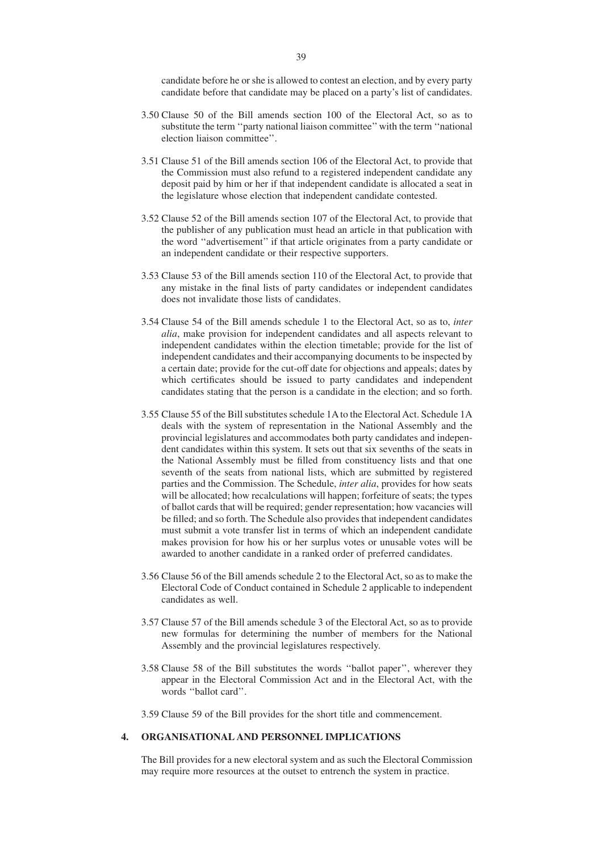candidate before he or she is allowed to contest an election, and by every party candidate before that candidate may be placed on a party's list of candidates.

- 3.50 Clause 50 of the Bill amends section 100 of the Electoral Act, so as to substitute the term ''party national liaison committee'' with the term ''national election liaison committee''.
- 3.51 Clause 51 of the Bill amends section 106 of the Electoral Act, to provide that the Commission must also refund to a registered independent candidate any deposit paid by him or her if that independent candidate is allocated a seat in the legislature whose election that independent candidate contested.
- 3.52 Clause 52 of the Bill amends section 107 of the Electoral Act, to provide that the publisher of any publication must head an article in that publication with the word ''advertisement'' if that article originates from a party candidate or an independent candidate or their respective supporters.
- 3.53 Clause 53 of the Bill amends section 110 of the Electoral Act, to provide that any mistake in the final lists of party candidates or independent candidates does not invalidate those lists of candidates.
- 3.54 Clause 54 of the Bill amends schedule 1 to the Electoral Act, so as to, *inter alia*, make provision for independent candidates and all aspects relevant to independent candidates within the election timetable; provide for the list of independent candidates and their accompanying documents to be inspected by a certain date; provide for the cut-off date for objections and appeals; dates by which certificates should be issued to party candidates and independent candidates stating that the person is a candidate in the election; and so forth.
- 3.55 Clause 55 of the Bill substitutes schedule 1A to the Electoral Act. Schedule 1A deals with the system of representation in the National Assembly and the provincial legislatures and accommodates both party candidates and independent candidates within this system. It sets out that six sevenths of the seats in the National Assembly must be filled from constituency lists and that one seventh of the seats from national lists, which are submitted by registered parties and the Commission. The Schedule, *inter alia*, provides for how seats will be allocated; how recalculations will happen; forfeiture of seats; the types of ballot cards that will be required; gender representation; how vacancies will be filled; and so forth. The Schedule also provides that independent candidates must submit a vote transfer list in terms of which an independent candidate makes provision for how his or her surplus votes or unusable votes will be awarded to another candidate in a ranked order of preferred candidates.
- 3.56 Clause 56 of the Bill amends schedule 2 to the Electoral Act, so as to make the Electoral Code of Conduct contained in Schedule 2 applicable to independent candidates as well.
- 3.57 Clause 57 of the Bill amends schedule 3 of the Electoral Act, so as to provide new formulas for determining the number of members for the National Assembly and the provincial legislatures respectively.
- 3.58 Clause 58 of the Bill substitutes the words ''ballot paper'', wherever they appear in the Electoral Commission Act and in the Electoral Act, with the words ''ballot card''.

3.59 Clause 59 of the Bill provides for the short title and commencement.

# **4. ORGANISATIONAL AND PERSONNEL IMPLICATIONS**

The Bill provides for a new electoral system and as such the Electoral Commission may require more resources at the outset to entrench the system in practice.